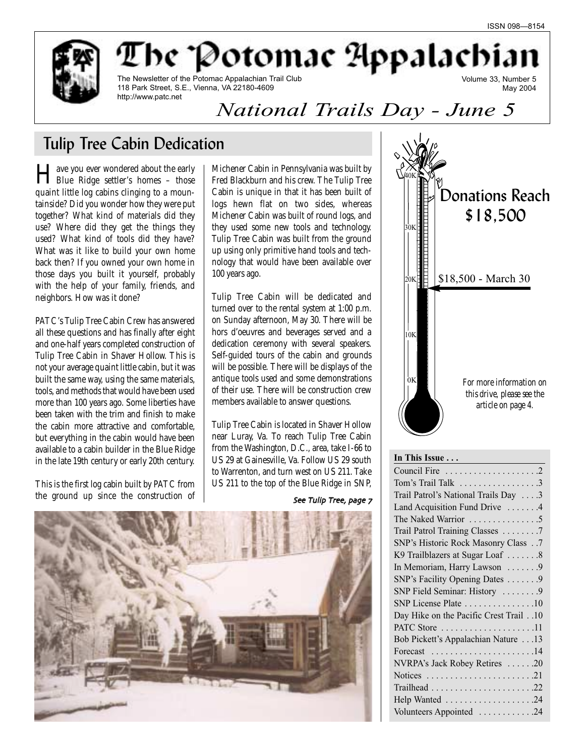May 2004

Volume 33, Number 5

be "Potomac Appalacbi



The Newsletter of the Potomac Appalachian Trail Club 118 Park Street, S.E., Vienna, VA 22180-4609 http://www.patc.net

# *National Trails Day - June 5*

# Tulip Tree Cabin Dedication

Have you ever wondered about the early Blue Ridge settler's homes – those quaint little log cabins clinging to a mountainside? Did you wonder how they were put together? What kind of materials did they use? Where did they get the things they used? What kind of tools did they have? What was it like to build your own home back then? If you owned your own home in those days you built it yourself, probably with the help of your family, friends, and neighbors. How was it done?

PATC's Tulip Tree Cabin Crew has answered all these questions and has finally after eight and one-half years completed construction of Tulip Tree Cabin in Shaver Hollow. This is not your average quaint little cabin, but it was built the same way, using the same materials, tools, and methods that would have been used more than 100 years ago. Some liberties have been taken with the trim and finish to make the cabin more attractive and comfortable, but everything in the cabin would have been available to a cabin builder in the Blue Ridge in the late 19th century or early 20th century.

This is the first log cabin built by PATC from the ground up since the construction of

Michener Cabin in Pennsylvania was built by Fred Blackburn and his crew. The Tulip Tree Cabin is unique in that it has been built of logs hewn flat on two sides, whereas Michener Cabin was built of round logs, and they used some new tools and technology. Tulip Tree Cabin was built from the ground up using only primitive hand tools and technology that would have been available over 100 years ago.

Tulip Tree Cabin will be dedicated and turned over to the rental system at 1:00 p.m. on Sunday afternoon, May 30. There will be hors d'oeuvres and beverages served and a dedication ceremony with several speakers. Self-guided tours of the cabin and grounds will be possible. There will be displays of the antique tools used and some demonstrations of their use. There will be construction crew members available to answer questions.

Tulip Tree Cabin is located in Shaver Hollow near Luray, Va. To reach Tulip Tree Cabin from the Washington, D.C., area, take I-66 to US 29 at Gainesville, Va. Follow US 29 south to Warrenton, and turn west on US 211. Take US 211 to the top of the Blue Ridge in SNP,

## See Tulip Tree, page 7





## **In This Issue . . .**

| Tom's Trail Talk 3                                            |
|---------------------------------------------------------------|
| Trail Patrol's National Trails Day 3                          |
| Land Acquisition Fund Drive  4                                |
| The Naked Warrior 5                                           |
| Trail Patrol Training Classes 7                               |
| SNP's Historic Rock Masonry Class 7                           |
| K9 Trailblazers at Sugar Loaf 8                               |
| In Memoriam, Harry Lawson  9                                  |
| SNP's Facility Opening Dates 9                                |
| SNP Field Seminar: History  9                                 |
| SNP License Plate 10                                          |
| Day Hike on the Pacific Crest Trail 10                        |
| PATC Store 11                                                 |
| Bob Pickett's Appalachian Nature 13                           |
| Forecast $\ldots \ldots \ldots \ldots \ldots \ldots 14$       |
| NVRPA's Jack Robey Retires 20                                 |
| Notices $\ldots \ldots \ldots \ldots \ldots \ldots \ldots 21$ |
|                                                               |
| Help Wanted 24                                                |
| Volunteers Appointed 24                                       |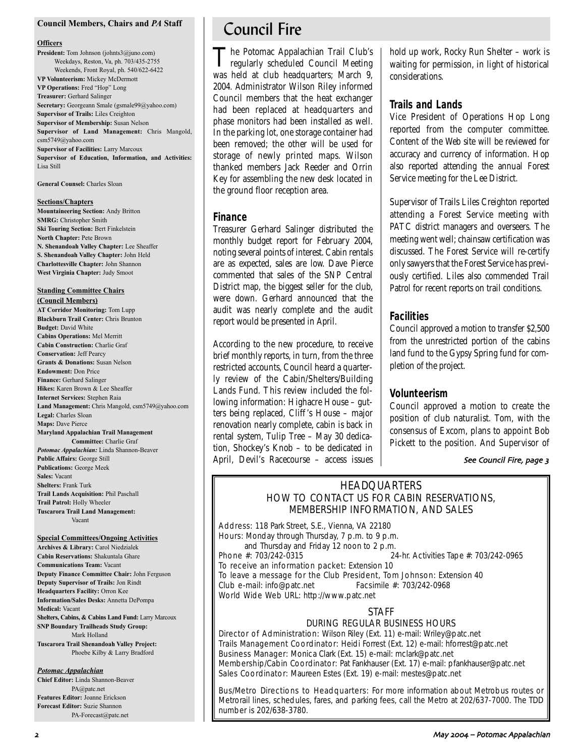#### **Council Members, Chairs and** *PA* **Staff**

#### **Officers**

**President:** Tom Johnson (johnts3@juno.com) Weekdays, Reston, Va, ph. 703/435-2755 Weekends, Front Royal, ph. 540/622-6422 **VP Volunteerism:** Mickey McDermott **VP Operations:** Fred "Hop" Long **Treasurer:** Gerhard Salinger **Secretary:** Georgeann Smale (gsmale99@yahoo.com) **Supervisor of Trails:** Liles Creighton **Supervisor of Membership:** Susan Nelson **Supervisor of Land Management:** Chris Mangold, csm5749@yahoo.com **Supervisor of Facilities:** Larry Marcoux **Supervisor of Education, Information, and Activities:** Lisa Still

**General Counsel:** Charles Sloan

#### **Sections/Chapters**

**Mountaineering Section:** Andy Britton **SMRG:** Christopher Smith **Ski Touring Section:** Bert Finkelstein **North Chapter:** Pete Brown **N. Shenandoah Valley Chapter:** Lee Sheaffer **S. Shenandoah Valley Chapter:** John Held **Charlottesville Chapter:** John Shannon **West Virginia Chapter:** Judy Smoot

#### **Standing Committee Chairs**

**(Council Members) AT Corridor Monitoring:** Tom Lupp **Blackburn Trail Center:** Chris Brunton **Budget:** David White **Cabins Operations:** Mel Merritt **Cabin Construction:** Charlie Graf **Conservation:** Jeff Pearcy **Grants & Donations:** Susan Nelson **Endowment:** Don Price **Finance:** Gerhard Salinger **Hikes:** Karen Brown & Lee Sheaffer **Internet Services:** Stephen Raia **Land Management:** Chris Mangold, csm5749@yahoo.com **Legal:** Charles Sloan **Maps:** Dave Pierce **Maryland Appalachian Trail Management Committee:** Charlie Graf *Potomac Appalachian:* Linda Shannon-Beaver **Public Affairs:** George Still **Publications:** George Meek **Sales:** Vacant **Shelters:** Frank Turk **Trail Lands Acquisition:** Phil Paschall **Trail Patrol:** Holly Wheeler **Tuscarora Trail Land Management:**

Vacant

#### **Special Committees/Ongoing Activities**

**Archives & Library:** Carol Niedzialek **Cabin Reservations:** Shakuntala Ghare **Communications Team:** Vacant **Deputy Finance Committee Chair:** John Ferguson **Deputy Supervisor of Trails:** Jon Rindt **Headquarters Facility:** Orron Kee **Information/Sales Desks:** Annetta DePompa **Medical:** Vacant **Shelters, Cabins, & Cabins Land Fund:** Larry Marcoux **SNP Boundary Trailheads Study Group:** Mark Holland **Tuscarora Trail Shenandoah Valley Project:** Phoebe Kilby & Larry Bradford

#### *Potomac Appalachian*

**Chief Editor:** Linda Shannon-Beaver PA@patc.net **Features Editor:** Joanne Erickson **Forecast Editor:** Suzie Shannon PA-Forecast@patc.net

# Council Fire

The Potomac Appalachian Trail Club's regularly scheduled Council Meeting was held at club headquarters; March 9, 2004. Administrator Wilson Riley informed Council members that the heat exchanger had been replaced at headquarters and phase monitors had been installed as well. In the parking lot, one storage container had been removed; the other will be used for storage of newly printed maps. Wilson thanked members Jack Reeder and Orrin Key for assembling the new desk located in the ground floor reception area.

## **Finance**

Treasurer Gerhard Salinger distributed the monthly budget report for February 2004, noting several points of interest. Cabin rentals are as expected, sales are low. Dave Pierce commented that sales of the SNP Central District map, the biggest seller for the club, were down. Gerhard announced that the audit was nearly complete and the audit report would be presented in April.

According to the new procedure, to receive brief monthly reports, in turn, from the three restricted accounts, Council heard a quarterly review of the Cabin/Shelters/Building Lands Fund. This review included the following information: Highacre House – gutters being replaced, Cliff 's House – major renovation nearly complete, cabin is back in rental system, Tulip Tree – May 30 dedication, Shockey's Knob – to be dedicated in April, Devil's Racecourse – access issues hold up work, Rocky Run Shelter – work is waiting for permission, in light of historical considerations.

## **Trails and Lands**

Vice President of Operations Hop Long reported from the computer committee. Content of the Web site will be reviewed for accuracy and currency of information. Hop also reported attending the annual Forest Service meeting for the Lee District.

Supervisor of Trails Liles Creighton reported attending a Forest Service meeting with PATC district managers and overseers. The meeting went well; chainsaw certification was discussed. The Forest Service will re-certify only sawyers that the Forest Service has previously certified. Liles also commended Trail Patrol for recent reports on trail conditions.

## **Facilities**

Council approved a motion to transfer \$2,500 from the unrestricted portion of the cabins land fund to the Gypsy Spring fund for completion of the project.

## **Volunteerism**

Council approved a motion to create the position of club naturalist. Tom, with the consensus of Excom, plans to appoint Bob Pickett to the position. And Supervisor of

#### See Council Fire, page 3

## **HEADQUARTERS** HOW TO CONTACT US FOR CABIN RESERVATIONS, MEMBERSHIP INFORMATION, AND SALES

Address: 118 Park Street, S.E., Vienna, VA 22180 Hours: Monday through Thursday, 7 p.m. to 9 p.m. and Thursday and Friday 12 noon to 2 p.m.<br>Phone  $\#$ : 703/242-0315 24-hr. Activities Tape #: 703/242-0965

To receive an information packet: Extension 10

To leave a message for the Club President, Tom Johnson: Extension 40 Club e-mail: info@patc.net Facsimile #: 703/242-0968 World Wide Web URL: http://www.patc.net

## STAFF

## DURING REGULAR BUSINESS HOURS

Director of Administration: Wilson Riley (Ext. 11) e-mail: Wriley@patc.net Trails Management Coordinator: Heidi Forrest (Ext. 12) e-mail: hforrest@patc.net Business Manager: Monica Clark (Ext. 15) e-mail: mclark@patc.net Membership/Cabin Coordinator: Pat Fankhauser (Ext. 17) e-mail: pfankhauser@patc.net Sales Coordinator: Maureen Estes (Ext. 19) e-mail: mestes@patc.net

Bus/Metro Directions to Headquarters: For more information about Metrobus routes or Metrorail lines, schedules, fares, and parking fees, call the Metro at 202/637-7000. The TDD number is 202/638-3780.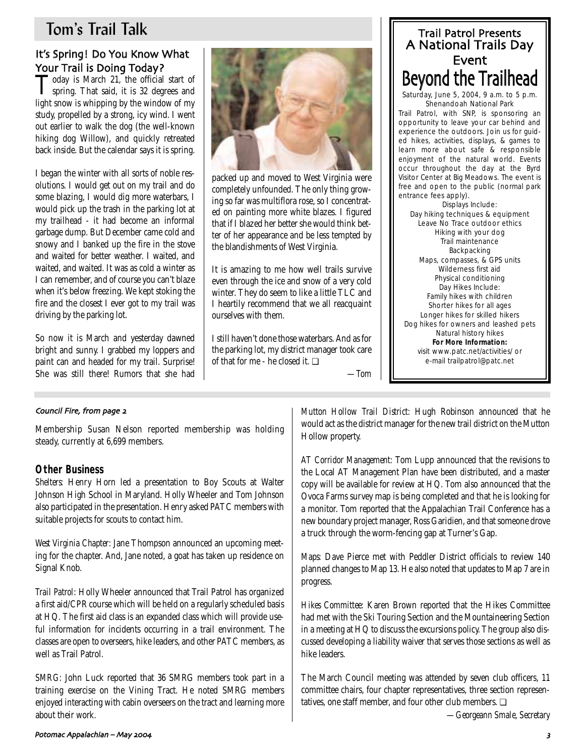# Tom's Trail Talk

# It's Spring! Do You Know What Your Trail is Doing Today?<br>Today is March 21, the official start of

Today is March 21, the official start of spring. That said, it is 32 degrees and light snow is whipping by the window of my study, propelled by a strong, icy wind. I went out earlier to walk the dog (the well-known hiking dog Willow), and quickly retreated back inside. But the calendar says it is spring.

I began the winter with all sorts of noble resolutions. I would get out on my trail and do some blazing, I would dig more waterbars, I would pick up the trash in the parking lot at my trailhead - it had become an informal garbage dump. But December came cold and snowy and I banked up the fire in the stove and waited for better weather. I waited, and waited, and waited. It was as cold a winter as I can remember, and of course you can't blaze when it's below freezing. We kept stoking the fire and the closest I ever got to my trail was driving by the parking lot.

So now it is March and yesterday dawned bright and sunny. I grabbed my loppers and paint can and headed for my trail. Surprise! She was still there! Rumors that she had



packed up and moved to West Virginia were completely unfounded. The only thing growing so far was multiflora rose, so I concentrated on painting more white blazes. I figured that if I blazed her better she would think better of her appearance and be less tempted by the blandishments of West Virginia.

It is amazing to me how well trails survive even through the ice and snow of a very cold winter. They do seem to like a little TLC and I heartily recommend that we all reacquaint ourselves with them.

I still haven't done those waterbars. And as for the parking lot, my district manager took care of that for me - he closed it. ❏

A National Trails Day Event Beyond the Trailhead Saturday, June 5, 2004, 9 a.m. to 5 p.m. Shenandoah National Park Trail Patrol, with SNP, is sponsoring an opportunity to leave your car behind and experience the outdoors. Join us for guided hikes, activities, displays, & games to learn more about safe & responsible enjoyment of the natural world. Events occur throughout the day at the Byrd Visitor Center at Big Meadows. The event is free and open to the public (normal park entrance fees apply). Displays Include: Day hiking techniques & equipment Leave No Trace outdoor ethics Hiking with your dog Trail maintenance Backpacking Maps, compasses, & GPS units Wilderness first aid Physical conditioning Day Hikes Include: Family hikes with children Shorter hikes for all ages Longer hikes for skilled hikers Dog hikes for owners and leashed pets Natural history hikes **For More Information:** visit www.patc.net/activities/ or

e-mail trailpatrol@patc.net

Trail Patrol Presents

*—Tom*

## Council Fire from page

Membership Susan Nelson reported membership was holding steady, currently at 6,699 members.

## **Other Business**

*Shelters:* Henry Horn led a presentation to Boy Scouts at Walter Johnson High School in Maryland. Holly Wheeler and Tom Johnson also participated in the presentation. Henry asked PATC members with suitable projects for scouts to contact him.

*West Virginia Chapter:* Jane Thompson announced an upcoming meeting for the chapter. And, Jane noted, a goat has taken up residence on Signal Knob.

*Trail Patrol*: Holly Wheeler announced that Trail Patrol has organized a first aid/CPR course which will be held on a regularly scheduled basis at HQ. The first aid class is an expanded class which will provide useful information for incidents occurring in a trail environment. The classes are open to overseers, hike leaders, and other PATC members, as well as Trail Patrol.

*SMRG:* John Luck reported that 36 SMRG members took part in a training exercise on the Vining Tract. He noted SMRG members enjoyed interacting with cabin overseers on the tract and learning more about their work.

*Mutton Hollow Trail District:* Hugh Robinson announced that he would act as the district manager for the new trail district on the Mutton Hollow property.

*AT Corridor Management:* Tom Lupp announced that the revisions to the Local AT Management Plan have been distributed, and a master copy will be available for review at HQ. Tom also announced that the Ovoca Farms survey map is being completed and that he is looking for a monitor. Tom reported that the Appalachian Trail Conference has a new boundary project manager, Ross Garidien, and that someone drove a truck through the worm-fencing gap at Turner's Gap.

*Maps:* Dave Pierce met with Peddler District officials to review 140 planned changes to Map 13. He also noted that updates to Map 7 are in progress.

*Hikes Committee:* Karen Brown reported that the Hikes Committee had met with the Ski Touring Section and the Mountaineering Section in a meeting at HQ to discuss the excursions policy. The group also discussed developing a liability waiver that serves those sections as well as hike leaders.

The March Council meeting was attended by seven club officers, 11 committee chairs, four chapter representatives, three section representatives, one staff member, and four other club members. ❏

*—Georgeann Smale, Secretary*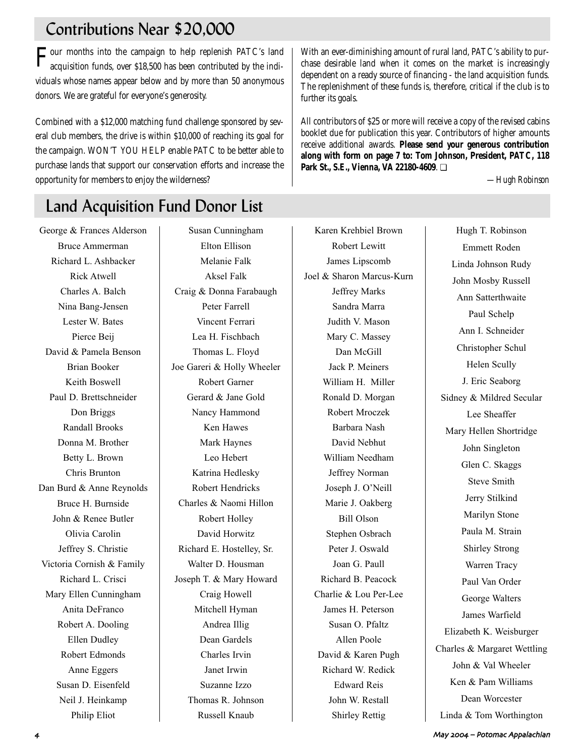# Contributions Near \$20,000

Four months into the campaign to help replenish PATC's land acquisition funds, over \$18,500 has been contributed by the individuals whose names appear below and by more than 50 anonymous donors. We are grateful for everyone's generosity.

Combined with a \$12,000 matching fund challenge sponsored by several club members, the drive is within \$10,000 of reaching its goal for the campaign. WON'T YOU HELP enable PATC to be better able to purchase lands that support our conservation efforts and increase the opportunity for members to enjoy the wilderness?

# Land Acquisition Fund Donor List

George & Frances Alderson Bruce Ammerman Richard L. Ashbacker Rick Atwell Charles A. Balch Nina Bang-Jensen Lester W. Bates Pierce Beij David & Pamela Benson Brian Booker Keith Boswell Paul D. Brettschneider Don Briggs Randall Brooks Donna M. Brother Betty L. Brown Chris Brunton Dan Burd & Anne Reynolds Bruce H. Burnside John & Renee Butler Olivia Carolin Jeffrey S. Christie Victoria Cornish & Family Richard L. Crisci Mary Ellen Cunningham Anita DeFranco Robert A. Dooling Ellen Dudley Robert Edmonds Anne Eggers Susan D. Eisenfeld Neil J. Heinkamp Philip Eliot

Susan Cunningham Elton Ellison Melanie Falk Aksel Falk Craig & Donna Farabaugh Peter Farrell Vincent Ferrari Lea H. Fischbach Thomas L. Floyd Joe Gareri & Holly Wheeler Robert Garner Gerard & Jane Gold Nancy Hammond Ken Hawes Mark Haynes Leo Hebert Katrina Hedlesky Robert Hendricks Charles & Naomi Hillon Robert Holley David Horwitz Richard E. Hostelley, Sr. Walter D. Housman Joseph T. & Mary Howard Craig Howell Mitchell Hyman Andrea Illig Dean Gardels Charles Irvin Janet Irwin Suzanne Izzo Thomas R. Johnson Russell Knaub

Karen Krehbiel Brown Robert Lewitt James Lipscomb Joel & Sharon Marcus-Kurn Jeffrey Marks Sandra Marra Judith V. Mason Mary C. Massey Dan McGill Jack P. Meiners William H. Miller Ronald D. Morgan Robert Mroczek Barbara Nash David Nebhut William Needham Jeffrey Norman Joseph J. O'Neill Marie J. Oakberg Bill Olson Stephen Osbrach Peter J. Oswald Joan G. Paull Richard B. Peacock Charlie & Lou Per-Lee James H. Peterson Susan O. Pfaltz Allen Poole David & Karen Pugh Richard W. Redick Edward Reis John W. Restall Shirley Rettig

With an ever-diminishing amount of rural land, PATC's ability to purchase desirable land when it comes on the market is increasingly dependent on a ready source of financing - the land acquisition funds. The replenishment of these funds is, therefore, critical if the club is to further its goals.

All contributors of \$25 or more will receive a copy of the revised cabins booklet due for publication this year. Contributors of higher amounts receive additional awards. **Please send your generous contribution along with form on page 7 to: Tom Johnson, President, PATC, 118 Park St., S.E., Vienna, VA 22180-4609**. ❏

*—Hugh Robinson*

Hugh T. Robinson Emmett Roden Linda Johnson Rudy John Mosby Russell Ann Satterthwaite Paul Schelp Ann I. Schneider Christopher Schul Helen Scully J. Eric Seaborg Sidney & Mildred Secular Lee Sheaffer Mary Hellen Shortridge John Singleton Glen C. Skaggs Steve Smith Jerry Stilkind Marilyn Stone Paula M. Strain Shirley Strong Warren Tracy Paul Van Order George Walters James Warfield Elizabeth K. Weisburger Charles & Margaret Wettling John & Val Wheeler Ken & Pam Williams Dean Worcester Linda & Tom Worthington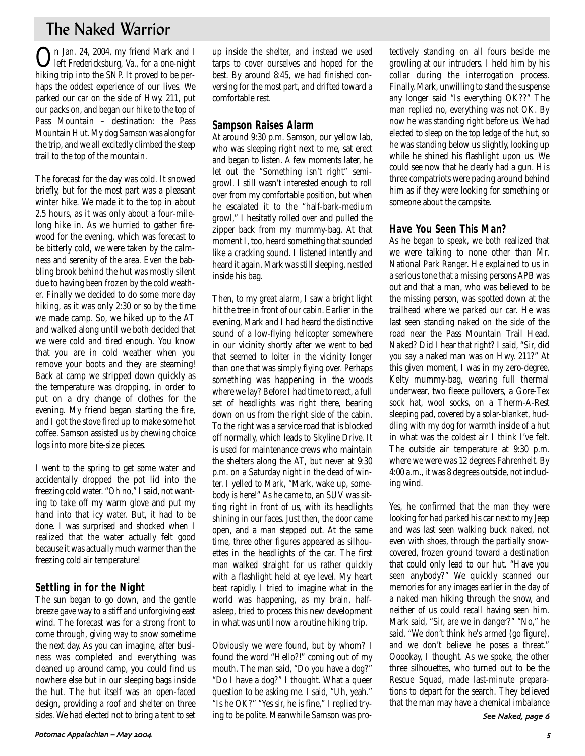# The Naked Warrior

On Jan. 24, 2004, my friend Mark and I left Fredericksburg, Va., for a one-night hiking trip into the SNP. It proved to be perhaps the oddest experience of our lives. We parked our car on the side of Hwy. 211, put our packs on, and began our hike to the top of Pass Mountain – destination: the Pass Mountain Hut. My dog Samson was along for the trip, and we all excitedly climbed the steep trail to the top of the mountain.

The forecast for the day was cold. It snowed briefly, but for the most part was a pleasant winter hike. We made it to the top in about 2.5 hours, as it was only about a four-milelong hike in. As we hurried to gather firewood for the evening, which was forecast to be bitterly cold, we were taken by the calmness and serenity of the area. Even the babbling brook behind the hut was mostly silent due to having been frozen by the cold weather. Finally we decided to do some more day hiking, as it was only 2:30 or so by the time we made camp. So, we hiked up to the AT and walked along until we both decided that we were cold and tired enough. You know that you are in cold weather when you remove your boots and they are steaming! Back at camp we stripped down quickly as the temperature was dropping, in order to put on a dry change of clothes for the evening. My friend began starting the fire, and I got the stove fired up to make some hot coffee. Samson assisted us by chewing choice logs into more bite-size pieces.

I went to the spring to get some water and accidentally dropped the pot lid into the freezing cold water. "Oh no," I said, not wanting to take off my warm glove and put my hand into that icy water. But, it had to be done. I was surprised and shocked when I realized that the water actually felt good because it was actually much warmer than the freezing cold air temperature!

## **Settling in for the Night**

The sun began to go down, and the gentle breeze gave way to a stiff and unforgiving east wind. The forecast was for a strong front to come through, giving way to snow sometime the next day. As you can imagine, after business was completed and everything was cleaned up around camp, you could find us nowhere else but in our sleeping bags inside the hut. The hut itself was an open-faced design, providing a roof and shelter on three sides. We had elected not to bring a tent to set up inside the shelter, and instead we used tarps to cover ourselves and hoped for the best. By around 8:45, we had finished conversing for the most part, and drifted toward a comfortable rest.

## **Sampson Raises Alarm**

At around 9:30 p.m. Samson, our yellow lab, who was sleeping right next to me, sat erect and began to listen. A few moments later, he let out the "Something isn't right" semigrowl. I still wasn't interested enough to roll over from my comfortable position, but when he escalated it to the "half-bark-medium growl," I hesitatly rolled over and pulled the zipper back from my mummy-bag. At that moment I, too, heard something that sounded like a cracking sound. I listened intently and heard it again. Mark was still sleeping, nestled inside his bag.

Then, to my great alarm, I saw a bright light hit the tree in front of our cabin. Earlier in the evening, Mark and I had heard the distinctive sound of a low-flying helicopter somewhere in our vicinity shortly after we went to bed that seemed to loiter in the vicinity longer than one that was simply flying over. Perhaps something was happening in the woods where we lay? Before I had time to react, a full set of headlights was right there, bearing down on us from the right side of the cabin. To the right was a service road that is blocked off normally, which leads to Skyline Drive. It is used for maintenance crews who maintain the shelters along the AT, but never at 9:30 p.m. on a Saturday night in the dead of winter. I yelled to Mark, "Mark, wake up, somebody is here!" As he came to, an SUV was sitting right in front of us, with its headlights shining in our faces. Just then, the door came open, and a man stepped out. At the same time, three other figures appeared as silhouettes in the headlights of the car. The first man walked straight for us rather quickly with a flashlight held at eye level. My heart beat rapidly. I tried to imagine what in the world was happening, as my brain, halfasleep, tried to process this new development in what was until now a routine hiking trip.

Obviously we were found, but by whom? I found the word "Hello?!" coming out of my mouth. The man said, "Do you have a dog?" "Do I have a dog?" I thought. What a queer question to be asking me. I said, "Uh, yeah." "Is he OK?" "Yes sir, he is fine," I replied trying to be polite. Meanwhile Samson was protectively standing on all fours beside me growling at our intruders. I held him by his collar during the interrogation process. Finally, Mark, unwilling to stand the suspense any longer said "Is everything OK??" The man replied no, everything was not OK. By now he was standing right before us. We had elected to sleep on the top ledge of the hut, so he was standing below us slightly, looking up while he shined his flashlight upon us. We could see now that he clearly had a gun. His three compatriots were pacing around behind him as if they were looking for something or someone about the campsite.

## **Have You Seen This Man?**

As he began to speak, we both realized that we were talking to none other than Mr. National Park Ranger. He explained to us in a serious tone that a missing persons APB was out and that a man, who was believed to be the missing person, was spotted down at the trailhead where we parked our car. He was last seen standing naked on the side of the road near the Pass Mountain Trail Head. Naked? Did I hear that right? I said, "Sir, did you say a naked man was on Hwy. 211?" At this given moment, I was in my zero-degree, Kelty mummy-bag, wearing full thermal underwear, two fleece pullovers, a Gore-Tex sock hat, wool socks, on a Therm-A-Rest sleeping pad, covered by a solar-blanket, huddling with my dog for warmth inside of a hut in what was the coldest air I think I've felt. The outside air temperature at 9:30 p.m. where we were was 12 degrees Fahrenheit. By 4:00 a.m., it was 8 degrees outside, not including wind.

Yes, he confirmed that the man they were looking for had parked his car next to my Jeep and was last seen walking buck naked, not even with shoes, through the partially snowcovered, frozen ground toward a destination that could only lead to our hut. "Have you seen anybody?" We quickly scanned our memories for any images earlier in the day of a naked man hiking through the snow, and neither of us could recall having seen him. Mark said, "Sir, are we in danger?" "No," he said. "We don't think he's armed (go figure), and we don't believe he poses a threat." Ooookay, I thought. As we spoke, the other three silhouettes, who turned out to be the Rescue Squad, made last-minute preparations to depart for the search. They believed that the man may have a chemical imbalance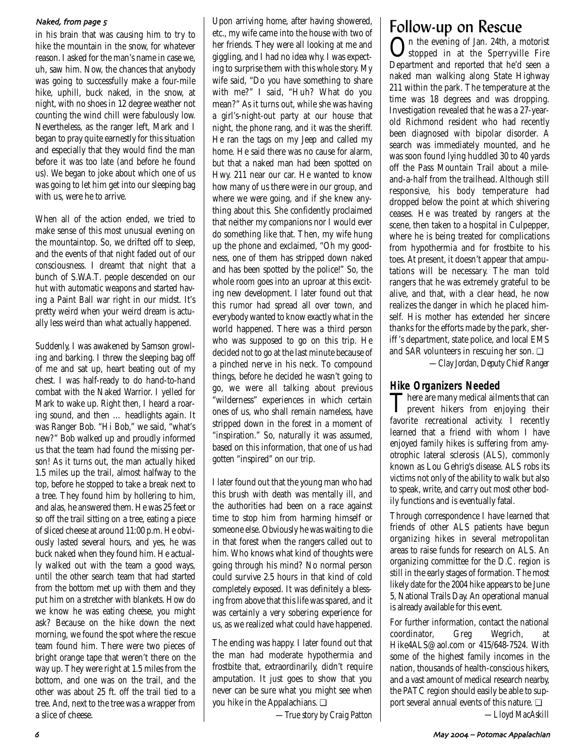## Naked, from page 5

in his brain that was causing him to try to hike the mountain in the snow, for whatever reason. I asked for the man's name in case we, uh, saw him. Now, the chances that anybody was going to successfully make a four-mile hike, uphill, buck naked, in the snow, at night, with no shoes in 12 degree weather not counting the wind chill were fabulously low. Nevertheless, as the ranger left, Mark and I began to pray quite earnestly for this situation and especially that they would find the man before it was too late (and before he found us). We began to joke about which one of us was going to let him get into our sleeping bag with us, were he to arrive.

When all of the action ended, we tried to make sense of this most unusual evening on the mountaintop. So, we drifted off to sleep, and the events of that night faded out of our consciousness. I dreamt that night that a bunch of S.W.A.T. people descended on our hut with automatic weapons and started having a Paint Ball war right in our midst. It's pretty weird when your weird dream is actually less weird than what actually happened.

Suddenly, I was awakened by Samson growling and barking. I threw the sleeping bag off of me and sat up, heart beating out of my chest. I was half-ready to do hand-to-hand combat with the Naked Warrior. I yelled for Mark to wake up. Right then, I heard a roaring sound, and then … headlights again. It was Ranger Bob. "Hi Bob," we said, "what's new?" Bob walked up and proudly informed us that the team had found the missing person! As it turns out, the man actually hiked 1.5 miles up the trail, almost halfway to the top, before he stopped to take a break next to a tree. They found him by hollering to him, and alas, he answered them. He was 25 feet or so off the trail sitting on a tree, eating a piece of sliced cheese at around 11:00 p.m. He obviously lasted several hours, and yes, he was buck naked when they found him. He actually walked out with the team a good ways, until the other search team that had started from the bottom met up with them and they put him on a stretcher with blankets. How do we know he was eating cheese, you might ask? Because on the hike down the next morning, we found the spot where the rescue team found him. There were two pieces of bright orange tape that weren't there on the way up. They were right at 1.5 miles from the bottom, and one was on the trail, and the other was about 25 ft. off the trail tied to a tree. And, next to the tree was a wrapper from a slice of cheese.

Upon arriving home, after having showered, etc., my wife came into the house with two of her friends. They were all looking at me and giggling, and I had no idea why. I was expecting to surprise them with this whole story. My wife said, "Do you have something to share with me?" I said, "Huh? What do you mean?" As it turns out, while she was having a girl's-night-out party at our house that night, the phone rang, and it was the sheriff. He ran the tags on my Jeep and called my home. He said there was no cause for alarm, but that a naked man had been spotted on Hwy. 211 near our car. He wanted to know how many of us there were in our group, and where we were going, and if she knew anything about this. She confidently proclaimed that neither my companions nor I would ever do something like that. Then, my wife hung up the phone and exclaimed, "Oh my goodness, one of them has stripped down naked and has been spotted by the police!" So, the whole room goes into an uproar at this exciting new development. I later found out that this rumor had spread all over town, and everybody wanted to know exactly what in the world happened. There was a third person who was supposed to go on this trip. He decided not to go at the last minute because of a pinched nerve in his neck. To compound things, before he decided he wasn't going to go, we were all talking about previous "wilderness" experiences in which certain ones of us, who shall remain nameless, have stripped down in the forest in a moment of "inspiration." So, naturally it was assumed, based on this information, that one of us had gotten "inspired" on our trip.

I later found out that the young man who had this brush with death was mentally ill, and the authorities had been on a race against time to stop him from harming himself or someone else. Obviously he was waiting to die in that forest when the rangers called out to him. Who knows what kind of thoughts were going through his mind? No normal person could survive 2.5 hours in that kind of cold completely exposed. It was definitely a blessing from above that this life was spared, and it was certainly a very sobering experience for us, as we realized what could have happened.

The ending was happy. I later found out that the man had moderate hypothermia and frostbite that, extraordinarily, didn't require amputation. It just goes to show that you never can be sure what you might see when you hike in the Appalachians. ❏

*—True story by Craig Patton*

# Follow-up on Rescue

On the evening of Jan. 24th, a motorist stopped in at the Sperryville Fire Department and reported that he'd seen a naked man walking along State Highway 211 within the park. The temperature at the time was 18 degrees and was dropping. Investigation revealed that he was a 27-yearold Richmond resident who had recently been diagnosed with bipolar disorder. A search was immediately mounted, and he was soon found lying huddled 30 to 40 yards off the Pass Mountain Trail about a mileand-a-half from the trailhead. Although still responsive, his body temperature had dropped below the point at which shivering ceases. He was treated by rangers at the scene, then taken to a hospital in Culpepper, where he is being treated for complications from hypothermia and for frostbite to his toes. At present, it doesn't appear that amputations will be necessary. The man told rangers that he was extremely grateful to be alive, and that, with a clear head, he now realizes the danger in which he placed himself. His mother has extended her sincere thanks for the efforts made by the park, sheriff 's department, state police, and local EMS and SAR volunteers in rescuing her son. ❏

*—Clay Jordan, Deputy Chief Ranger*

**Hike Organizers Needed**<br>**There are many medical ailments that can** There are many medical ailments that can<br>prevent hikers from enjoying their favorite recreational activity. I recently learned that a friend with whom I have enjoyed family hikes is suffering from amyotrophic lateral sclerosis (ALS), commonly known as Lou Gehrig's disease. ALS robs its victims not only of the ability to walk but also to speak, write, and carry out most other bodily functions and is eventually fatal.

Through correspondence I have learned that friends of other ALS patients have begun organizing hikes in several metropolitan areas to raise funds for research on ALS. An organizing committee for the D.C. region is still in the early stages of formation. The most likely date for the 2004 hike appears to be June 5, National Trails Day. An operational manual is already available for this event.

For further information, contact the national coordinator, Greg Wegrich, at Hike4ALS@aol.com or 415/648-7524. With some of the highest family incomes in the nation, thousands of health-conscious hikers, and a vast amount of medical research nearby, the PATC region should easily be able to support several annual events of this nature. ❏

*—Lloyd MacAskill*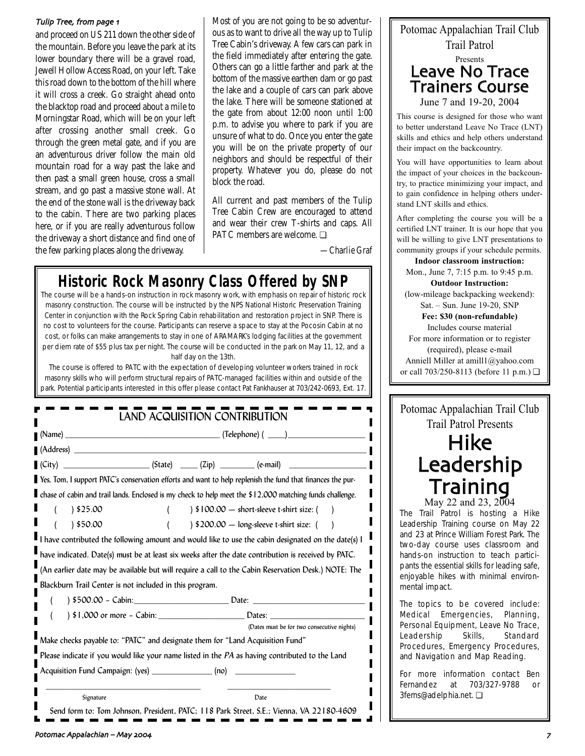### Tulip Tree from page 4

and proceed on US 211 down the other side of the mountain. Before you leave the park at its lower boundary there will be a gravel road, Jewell Hollow Access Road, on your left. Take this road down to the bottom of the hill where it will cross a creek. Go straight ahead onto the blacktop road and proceed about a mile to Morningstar Road, which will be on your left after crossing another small creek. Go through the green metal gate, and if you are an adventurous driver follow the main old mountain road for a way past the lake and then past a small green house, cross a small stream, and go past a massive stone wall. At the end of the stone wall is the driveway back to the cabin. There are two parking places here, or if you are really adventurous follow the driveway a short distance and find one of the few parking places along the driveway.

Most of you are not going to be so adventurous as to want to drive all the way up to Tulip Tree Cabin's driveway. A few cars can park in the field immediately after entering the gate. Others can go a little farther and park at the bottom of the massive earthen dam or go past the lake and a couple of cars can park above the lake. There will be someone stationed at the gate from about 12:00 noon until 1:00 p.m. to advise you where to park if you are unsure of what to do. Once you enter the gate you will be on the private property of our neighbors and should be respectful of their property. Whatever you do, please do not block the road.

All current and past members of the Tulip Tree Cabin Crew are encouraged to attend and wear their crew T-shirts and caps. All PATC members are welcome. ❏

*—Charlie Graf*

4

# **Historic Rock Masonry Class Offered by SNP**

The course will be a hands-on instruction in rock masonry work, with emphasis on repair of historic rock masonry construction. The course will be instructed by the NPS National Historic Preservation Training Center in conjunction with the Rock Spring Cabin rehabilitation and restoration project in SNP. There is no cost to volunteers for the course. Participants can reserve a space to stay at the Pocosin Cabin at no cost, or folks can make arrangements to stay in one of ARAMARK's lodging facilities at the government per diem rate of \$55 plus tax per night. The course will be conducted in the park on May 11, 12, and a half day on the 13th.

The course is offered to PATC with the expectation of developing volunteer workers trained in rock masonry skills who will perform structural repairs of PATC-managed facilities within and outside of the park. Potential participants interested in this offer please contact Pat Fankhauser at 703/242-0693, Ext. 17.

|                                                                                                                                                                                      | <b>The Community Community (Name)</b> (Name) (2002) |  |                                                       |  |  |
|--------------------------------------------------------------------------------------------------------------------------------------------------------------------------------------|-----------------------------------------------------|--|-------------------------------------------------------|--|--|
| $(Address)$ $\qquad \qquad$                                                                                                                                                          |                                                     |  |                                                       |  |  |
| $(City)$ $(City)$ $(State)$ $(Zip)$ $(Civ)$ $(e-mail)$                                                                                                                               |                                                     |  |                                                       |  |  |
| Yes, Tom, I support PATC's conservation efforts and want to help replenish the fund that finances the pur-                                                                           |                                                     |  |                                                       |  |  |
| <b>I</b> chase of cabin and trail lands. Enclosed is my check to help meet the \$12,000 matching funds challenge.                                                                    |                                                     |  |                                                       |  |  |
| 325.00                                                                                                                                                                               |                                                     |  | $\frac{1}{2}$ \$100.00 - short-sleeve t-shirt size: ( |  |  |
| ) \$50.00                                                                                                                                                                            |                                                     |  | ) \$200.00 - long-sleeve t-shirt size: (              |  |  |
| I have contributed the following amount and would like to use the cabin designated on the date(s) I                                                                                  |                                                     |  |                                                       |  |  |
|                                                                                                                                                                                      |                                                     |  |                                                       |  |  |
|                                                                                                                                                                                      |                                                     |  |                                                       |  |  |
| (An earlier date may be available but will require a call to the Cabin Reservation Desk.) NOTE: The                                                                                  |                                                     |  |                                                       |  |  |
| Blackburn Trail Center is not included in this program.                                                                                                                              |                                                     |  |                                                       |  |  |
| ) \$500.00 - Cabin: Date: Date: 200.00 - Cabin:                                                                                                                                      |                                                     |  |                                                       |  |  |
|                                                                                                                                                                                      |                                                     |  |                                                       |  |  |
|                                                                                                                                                                                      |                                                     |  | (Dates must be for two consecutive nights)            |  |  |
| have indicated. Date(s) must be at least six weeks after the date contribution is received by PATC.<br>Make checks payable to: "PATC" and designate them for "Land Acquisition Fund" |                                                     |  |                                                       |  |  |
| Please indicate if you would like your name listed in the $PA$ as having contributed to the Land                                                                                     |                                                     |  |                                                       |  |  |
| Acquisition Fund Campaign: (yes) _______________ (no) __________________________                                                                                                     |                                                     |  |                                                       |  |  |



This course is designed for those who want to better understand Leave No Trace (LNT) skills and ethics and help others understand their impact on the backcountry.

You will have opportunities to learn about the impact of your choices in the backcountry, to practice minimizing your impact, and to gain confidence in helping others understand LNT skills and ethics.

After completing the course you will be a certified LNT trainer. It is our hope that you will be willing to give LNT presentations to community groups if your schedule permits.

### **Indoor classroom instruction:**

Mon., June 7, 7:15 p.m. to 9:45 p.m. **Outdoor Instruction:**

(low-mileage backpacking weekend): Sat. – Sun. June 19-20, SNP

#### **Fee: \$30 (non-refundable)** Includes course material

For more information or to register (required), please e-mail

Anniell Miller at amill1@yahoo.com or call 703/250-8113 (before 11 p.m.) ❏

## Potomac Appalachian Trail Club Trail Patrol Presents

# Hike Leadership Training

May 22 and 23,  $2004$ The Trail Patrol is hosting a Hike Leadership Training course on May 22 and 23 at Prince William Forest Park. The two-day course uses classroom and hands-on instruction to teach participants the essential skills for leading safe, enjoyable hikes with minimal environmental impact.

The topics to be covered include: Medical Emergencies, Planning, Personal Equipment, Leave No Trace, Leadership Skills, Standard Procedures, Emergency Procedures, and Navigation and Map Reading.

For more information contact Ben Fernandez at 703/327-9788 or 3ferns@adelphia.net. ❏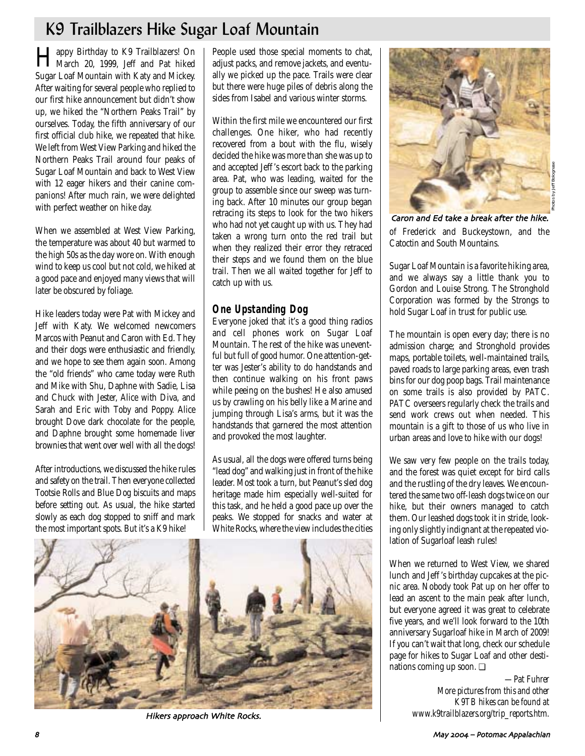# K9 Trailblazers Hike Sugar Loaf Mountain

Happy Birthday to K9 Trailblazers! On March 20, 1999, Jeff and Pat hiked Sugar Loaf Mountain with Katy and Mickey. After waiting for several people who replied to our first hike announcement but didn't show up, we hiked the "Northern Peaks Trail" by ourselves. Today, the fifth anniversary of our first official club hike, we repeated that hike. We left from West View Parking and hiked the Northern Peaks Trail around four peaks of Sugar Loaf Mountain and back to West View with 12 eager hikers and their canine companions! After much rain, we were delighted with perfect weather on hike day.

When we assembled at West View Parking, the temperature was about 40 but warmed to the high 50s as the day wore on. With enough wind to keep us cool but not cold, we hiked at a good pace and enjoyed many views that will later be obscured by foliage.

Hike leaders today were Pat with Mickey and Jeff with Katy. We welcomed newcomers Marcos with Peanut and Caron with Ed. They and their dogs were enthusiastic and friendly, and we hope to see them again soon. Among the "old friends" who came today were Ruth and Mike with Shu, Daphne with Sadie, Lisa and Chuck with Jester, Alice with Diva, and Sarah and Eric with Toby and Poppy. Alice brought Dove dark chocolate for the people, and Daphne brought some homemade liver brownies that went over well with all the dogs!

After introductions, we discussed the hike rules and safety on the trail. Then everyone collected Tootsie Rolls and Blue Dog biscuits and maps before setting out. As usual, the hike started slowly as each dog stopped to sniff and mark the most important spots. But it's a K9 hike!

People used those special moments to chat, adjust packs, and remove jackets, and eventually we picked up the pace. Trails were clear but there were huge piles of debris along the sides from Isabel and various winter storms.

Within the first mile we encountered our first challenges. One hiker, who had recently recovered from a bout with the flu, wisely decided the hike was more than she was up to and accepted Jeff 's escort back to the parking area. Pat, who was leading, waited for the group to assemble since our sweep was turning back. After 10 minutes our group began retracing its steps to look for the two hikers who had not yet caught up with us. They had taken a wrong turn onto the red trail but when they realized their error they retraced their steps and we found them on the blue trail. Then we all waited together for Jeff to catch up with us.

## **One Upstanding Dog**

Everyone joked that it's a good thing radios and cell phones work on Sugar Loaf Mountain. The rest of the hike was uneventful but full of good humor. One attention-getter was Jester's ability to do handstands and then continue walking on his front paws while peeing on the bushes! He also amused us by crawling on his belly like a Marine and jumping through Lisa's arms, but it was the handstands that garnered the most attention and provoked the most laughter.

As usual, all the dogs were offered turns being "lead dog" and walking just in front of the hike leader. Most took a turn, but Peanut's sled dog heritage made him especially well-suited for this task, and he held a good pace up over the peaks. We stopped for snacks and water at White Rocks, where the view includes the cities



Hikers approach White Rocks.



of Frederick and Buckeystown, and the Catoctin and South Mountains. Caron and Ed take a break after the hike.

Sugar Loaf Mountain is a favorite hiking area, and we always say a little thank you to Gordon and Louise Strong. The Stronghold Corporation was formed by the Strongs to hold Sugar Loaf in trust for public use.

The mountain is open every day; there is no admission charge; and Stronghold provides maps, portable toilets, well-maintained trails, paved roads to large parking areas, even trash bins for our dog poop bags. Trail maintenance on some trails is also provided by PATC. PATC overseers regularly check the trails and send work crews out when needed. This mountain is a gift to those of us who live in urban areas and love to hike with our dogs!

We saw very few people on the trails today, and the forest was quiet except for bird calls and the rustling of the dry leaves. We encountered the same two off-leash dogs twice on our hike, but their owners managed to catch them. Our leashed dogs took it in stride, looking only slightly indignant at the repeated violation of Sugarloaf leash rules!

When we returned to West View, we shared lunch and Jeff 's birthday cupcakes at the picnic area. Nobody took Pat up on her offer to lead an ascent to the main peak after lunch, but everyone agreed it was great to celebrate five years, and we'll look forward to the 10th anniversary Sugarloaf hike in March of 2009! If you can't wait that long, check our schedule page for hikes to Sugar Loaf and other destinations coming up soon. ❏

> *—Pat Fuhrer More pictures from this and other K9TB hikes can be found at www.k9trailblazers.org/trip\_reports.htm.*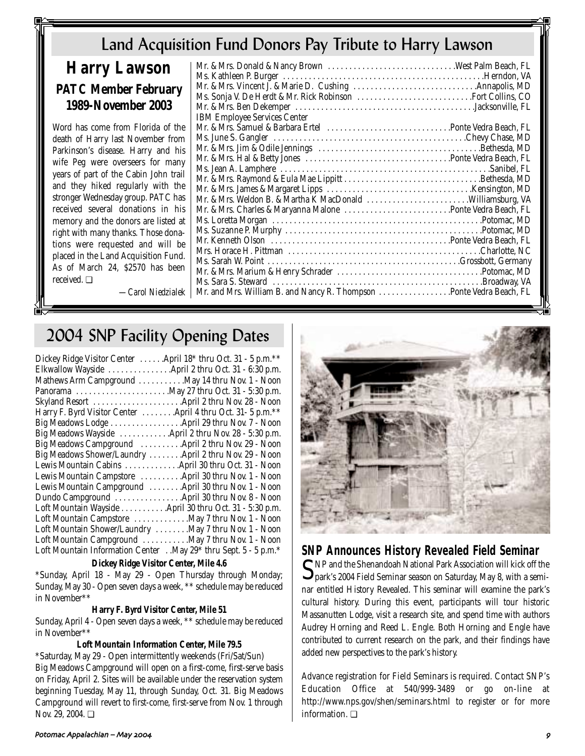# Land Acquisition Fund Donors Pay Tribute to Harry Lawson

# **Harry Lawson PATC Member February 1989-November 2003**

Word has come from Florida of the death of Harry last November from Parkinson's disease. Harry and his wife Peg were overseers for many years of part of the Cabin John trail and they hiked regularly with the stronger Wednesday group. PATC has received several donations in his memory and the donors are listed at right with many thanks. Those donations were requested and will be placed in the Land Acquisition Fund. As of March 24, \$2570 has been received. ❏

| <b>IBM Employee Services Center</b>                                 |  |
|---------------------------------------------------------------------|--|
|                                                                     |  |
|                                                                     |  |
|                                                                     |  |
|                                                                     |  |
|                                                                     |  |
|                                                                     |  |
|                                                                     |  |
|                                                                     |  |
|                                                                     |  |
|                                                                     |  |
|                                                                     |  |
|                                                                     |  |
|                                                                     |  |
|                                                                     |  |
|                                                                     |  |
|                                                                     |  |
| Mr. and Mrs. William B. and Nancy R. Thompson Ponte Vedra Beach, FL |  |
|                                                                     |  |

# 2004 SNP Facility Opening Dates

*—Carol Niedzialek*

| Dickey Ridge Visitor Center  April 18* thru Oct. 31 - 5 p.m. ** |
|-----------------------------------------------------------------|
| Elkwallow Wayside  April 2 thru Oct. 31 - 6:30 p.m.             |
| Mathews Arm Campground  May 14 thru Nov. 1 - Noon               |
|                                                                 |
| Skyland Resort  April 2 thru Nov. 28 - Noon                     |
| Harry F. Byrd Visitor Center  April 4 thru Oct. 31- 5 p.m.**    |
| Big Meadows Lodge April 29 thru Nov. 7 - Noon                   |
| Big Meadows Wayside  April 2 thru Nov. 28 - 5:30 p.m.           |
| Big Meadows Campground  April 2 thru Nov. 29 - Noon             |
| Big Meadows Shower/Laundry  April 2 thru Nov. 29 - Noon         |
| Lewis Mountain Cabins April 30 thru Oct. 31 - Noon              |
| Lewis Mountain Campstore  April 30 thru Nov. 1 - Noon           |
| Lewis Mountain Campground  April 30 thru Nov. 1 - Noon          |
| Dundo Campground  April 30 thru Nov. 8 - Noon                   |
| Loft Mountain Wayside April 30 thru Oct. 31 - 5:30 p.m.         |
| Loft Mountain Campstore May 7 thru Nov. 1 - Noon                |
| Loft Mountain Shower/Laundry May 7 thru Nov. 1 - Noon           |
| Loft Mountain Campground May 7 thru Nov. 1 - Noon               |
| Loft Mountain Information Center May 29* thru Sept. 5 - 5 p.m.* |
|                                                                 |

## **Dickey Ridge Visitor Center, Mile 4.6**

\*Sunday, April 18 - May 29 - Open Thursday through Monday; Sunday, May 30 - Open seven days a week, \*\* schedule may be reduced in November\*\*

## **Harry F. Byrd Visitor Center, Mile 51**

Sunday, April 4 - Open seven days a week, \*\* schedule may be reduced in November\*\*

## **Loft Mountain Information Center, Mile 79.5**

\*Saturday, May 29 - Open intermittently weekends (Fri/Sat/Sun) Big Meadows Campground will open on a first-come, first-serve basis on Friday, April 2. Sites will be available under the reservation system beginning Tuesday, May 11, through Sunday, Oct. 31. Big Meadows Campground will revert to first-come, first-serve from Nov. 1 through Nov. 29, 2004. <del></del>



# **SNP Announces History Revealed Field Seminar**<br> **CNP** and the Shenandoah National Park Association will kick off the

 ${\mathbf S}$ NP and the Shenandoah National Park Association will kick off the park's 2004 Field Seminar season on Saturday, May 8, with a seminar entitled History Revealed. This seminar will examine the park's cultural history. During this event, participants will tour historic Massanutten Lodge, visit a research site, and spend time with authors Audrey Horning and Reed L. Engle. Both Horning and Engle have contributed to current research on the park, and their findings have added new perspectives to the park's history.

Advance registration for Field Seminars is required. Contact SNP's Education Office at 540/999-3489 or go on-line at http://www.nps.gov/shen/seminars.html to register or for more information. ❏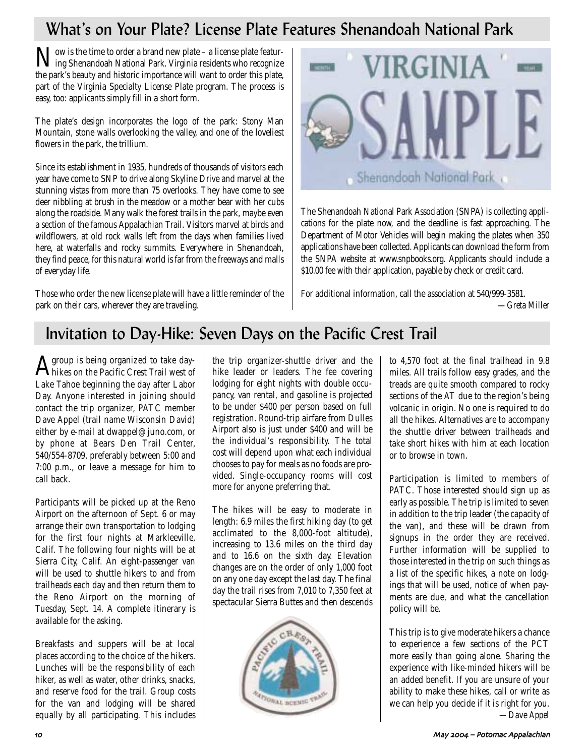# What's on Your Plate? License Plate Features Shenandoah National Park

Now is the time to order a brand new plate – a license plate featur-ing Shenandoah National Park. Virginia residents who recognize the park's beauty and historic importance will want to order this plate, part of the Virginia Specialty License Plate program. The process is easy, too: applicants simply fill in a short form.

The plate's design incorporates the logo of the park: Stony Man Mountain, stone walls overlooking the valley, and one of the loveliest flowers in the park, the trillium.

Since its establishment in 1935, hundreds of thousands of visitors each year have come to SNP to drive along Skyline Drive and marvel at the stunning vistas from more than 75 overlooks. They have come to see deer nibbling at brush in the meadow or a mother bear with her cubs along the roadside. Many walk the forest trails in the park, maybe even a section of the famous Appalachian Trail. Visitors marvel at birds and wildflowers, at old rock walls left from the days when families lived here, at waterfalls and rocky summits. Everywhere in Shenandoah, they find peace, for this natural world is far from the freeways and malls of everyday life.

Those who order the new license plate will have a little reminder of the park on their cars, wherever they are traveling.



The Shenandoah National Park Association (SNPA) is collecting applications for the plate now, and the deadline is fast approaching. The Department of Motor Vehicles will begin making the plates when 350 applications have been collected. Applicants can download the form from the SNPA website at www.snpbooks.org. Applicants should include a \$10.00 fee with their application, payable by check or credit card.

For additional information, call the association at 540/999-3581.

*—Greta Miller*

# Invitation to Day-Hike: Seven Days on the Pacific Crest Trail

Agroup is being organized to take day-hikes on the Pacific Crest Trail west of Lake Tahoe beginning the day after Labor Day. Anyone interested in joining should contact the trip organizer, PATC member Dave Appel (trail name Wisconsin David) either by e-mail at dwappel@juno.com, or by phone at Bears Den Trail Center, 540/554-8709, preferably between 5:00 and 7:00 p.m., or leave a message for him to call back.

Participants will be picked up at the Reno Airport on the afternoon of Sept. 6 or may arrange their own transportation to lodging for the first four nights at Markleeville, Calif. The following four nights will be at Sierra City, Calif. An eight-passenger van will be used to shuttle hikers to and from trailheads each day and then return them to the Reno Airport on the morning of Tuesday, Sept. 14. A complete itinerary is available for the asking.

Breakfasts and suppers will be at local places according to the choice of the hikers. Lunches will be the responsibility of each hiker, as well as water, other drinks, snacks, and reserve food for the trail. Group costs for the van and lodging will be shared equally by all participating. This includes the trip organizer-shuttle driver and the hike leader or leaders. The fee covering lodging for eight nights with double occupancy, van rental, and gasoline is projected to be under \$400 per person based on full registration. Round-trip airfare from Dulles Airport also is just under \$400 and will be the individual's responsibility. The total cost will depend upon what each individual chooses to pay for meals as no foods are provided. Single-occupancy rooms will cost more for anyone preferring that.

The hikes will be easy to moderate in length: 6.9 miles the first hiking day (to get acclimated to the 8,000-foot altitude), increasing to 13.6 miles on the third day and to 16.6 on the sixth day. Elevation changes are on the order of only 1,000 foot on any one day except the last day. The final day the trail rises from 7,010 to 7,350 feet at spectacular Sierra Buttes and then descends



to 4,570 foot at the final trailhead in 9.8 miles. All trails follow easy grades, and the treads are quite smooth compared to rocky sections of the AT due to the region's being volcanic in origin. No one is required to do all the hikes. Alternatives are to accompany the shuttle driver between trailheads and take short hikes with him at each location or to browse in town.

Participation is limited to members of PATC. Those interested should sign up as early as possible. The trip is limited to seven in addition to the trip leader (the capacity of the van), and these will be drawn from signups in the order they are received. Further information will be supplied to those interested in the trip on such things as a list of the specific hikes, a note on lodgings that will be used, notice of when payments are due, and what the cancellation policy will be.

This trip is to give moderate hikers a chance to experience a few sections of the PCT more easily than going alone. Sharing the experience with like-minded hikers will be an added benefit. If you are unsure of your ability to make these hikes, call or write as we can help you decide if it is right for you. *—Dave Appel*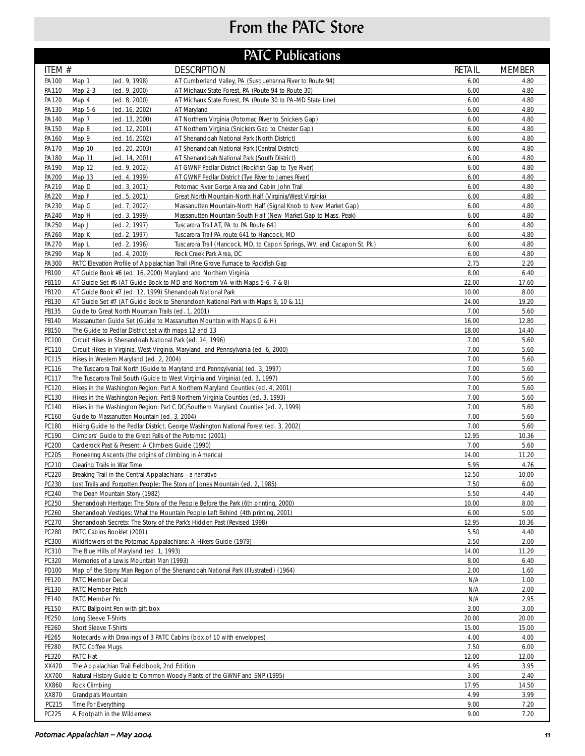# From the PATC Store

| <b>PATC Publications</b> |
|--------------------------|
|--------------------------|

| ITEM #         |                                                                | <b>DESCRIPTION</b>                                                                                        | <b>RETAIL</b> | <b>MEMBER</b> |
|----------------|----------------------------------------------------------------|-----------------------------------------------------------------------------------------------------------|---------------|---------------|
| PA100          | Map 1<br>(ed. 9, 1998)                                         | AT Cumberland Valley, PA (Susquehanna River to Route 94)                                                  | 6.00          | 4.80          |
| PA110          | Map 2-3<br>(ed. 9, 2000)                                       | AT Michaux State Forest, PA (Route 94 to Route 30)                                                        | 6.00          | 4.80          |
| PA120          | Map 4<br>(ed. 8, 2000)                                         | AT Michaux State Forest, PA (Route 30 to PA-MD State Line)                                                | 6.00          | 4.80          |
| PA130          | Map 5-6<br>(ed. 16, 2002)                                      | AT Maryland                                                                                               | 6.00          | 4.80          |
| PA140          | (ed. 13, 2000)<br>Map 7                                        | AT Northern Virginia (Potomac River to Snickers Gap)                                                      | 6.00          | 4.80          |
| PA150          | Map 8<br>(ed. 12, 2001)                                        | AT Northern Virginia (Snickers Gap to Chester Gap)                                                        | 6.00          | 4.80          |
| PA160          | Map 9<br>(ed. 16, 2002)                                        | AT Shenandoah National Park (North District)                                                              | 6.00          | 4.80          |
| PA170          | (ed. 20, 2003)<br>Map 10                                       | AT Shenandoah National Park (Central District)                                                            | 6.00          | 4.80          |
| PA180          | Map 11<br>(ed. 14, 2001)                                       | AT Shenandoah National Park (South District)                                                              | 6.00          | 4.80          |
| PA190<br>PA200 | Map 12<br>(ed. 9, 2002)<br>Map 13<br>(ed. 4, 1999)             | AT GWNF Pedlar District (Rockfish Gap to Tye River)<br>AT GWNF Pedlar District (Tye River to James River) | 6.00<br>6.00  | 4.80<br>4.80  |
| PA210          | Map D<br>(ed. 3, 2001)                                         | Potomac River Gorge Area and Cabin John Trail                                                             | 6.00          | 4.80          |
| PA220          | Map F<br>(ed. 5, 2001)                                         | Great North Mountain-North Half (Virginia/West Virginia)                                                  | 6.00          | 4.80          |
| PA230          | Map G<br>(ed. 7, 2002)                                         | Massanutten Mountain-North Half (Signal Knob to New Market Gap)                                           | 6.00          | 4.80          |
| PA240          | (ed. 3, 1999)<br>Map H                                         | Massanutten Mountain-South Half (New Market Gap to Mass. Peak)                                            | 6.00          | 4.80          |
| PA250          | Map J<br>(ed. 2, 1997)                                         | Tuscarora Trail AT, PA to PA Route 641                                                                    | 6.00          | 4.80          |
| PA260          | Map K<br>(ed. 2, 1997)                                         | Tuscarora Trail PA route 641 to Hancock, MD                                                               | 6.00          | 4.80          |
| PA270          | Map L<br>(ed. 2, 1996)                                         | Tuscarora Trail (Hancock, MD, to Capon Springs, WV, and Cacapon St. Pk.)                                  | 6.00          | 4.80          |
| PA290          | Map N<br>(ed. 4, 2000)                                         | Rock Creek Park Area, DC                                                                                  | 6.00          | 4.80          |
| PA300          |                                                                | PATC Elevation Profile of Appalachian Trail (Pine Grove Furnace to Rockfish Gap                           | 2.75          | 2.20          |
| PB100          | AT Guide Book #6 (ed. 16, 2000) Maryland and Northern Virginia |                                                                                                           | 8.00          | 6.40          |
| PB110          |                                                                | AT Guide Set #6 (AT Guide Book to MD and Northern VA with Maps 5-6, 7 & 8)                                | 22.00         | 17.60         |
| PB120          | AT Guide Book #7 (ed. 12, 1999) Shenandoah National Park       |                                                                                                           | 10.00         | 8.00          |
| PB130          |                                                                | AT Guide Set #7 (AT Guide Book to Shenandoah National Park with Maps 9, 10 & 11)                          | 24.00         | 19.20         |
| PB135          | Guide to Great North Mountain Trails (ed. 1, 2001)             |                                                                                                           | 7.00          | 5.60          |
| PB140          |                                                                | Massanutten Guide Set (Guide to Massanutten Mountain with Maps G & H)                                     | 16.00         | 12.80         |
| PB150          | The Guide to Pedlar District set with maps 12 and 13           |                                                                                                           | 18.00<br>7.00 | 14.40         |
| PC100<br>PC110 | Circuit Hikes in Shenandoah National Park (ed. 14, 1996)       | Circuit Hikes in Virginia, West Virginia, Maryland, and Pennsylvania (ed. 6, 2000)                        | 7.00          | 5.60<br>5.60  |
| PC115          | Hikes in Western Maryland (ed. 2, 2004)                        |                                                                                                           | 7.00          | 5.60          |
| PC116          |                                                                | The Tuscarora Trail North (Guide to Maryland and Pennsylvania) (ed. 3, 1997)                              | 7.00          | 5.60          |
| PC117          |                                                                | The Tuscarora Trail South (Guide to West Virginia and Virginia) (ed. 3, 1997)                             | 7.00          | 5.60          |
| PC120          |                                                                | Hikes in the Washington Region: Part A Northern Maryland Counties (ed. 4, 2001)                           | 7.00          | 5.60          |
| PC130          |                                                                | Hikes in the Washington Region: Part B Northern Virginia Counties (ed. 3, 1993)                           | 7.00          | 5.60          |
| PC140          |                                                                | Hikes in the Washington Region: Part C DC/Southern Maryland Counties (ed. 2, 1999)                        | 7.00          | 5.60          |
| PC160          | Guide to Massanutten Mountain (ed. 3, 2004)                    |                                                                                                           | 7.00          | 5.60          |
| PC180          |                                                                | Hiking Guide to the Pedlar District, George Washington National Forest (ed. 3, 2002)                      | 7.00          | 5.60          |
| PC190          | Climbers' Guide to the Great Falls of the Potomac (2001)       |                                                                                                           | 12.95         | 10.36         |
| PC200          | Carderock Past & Present: A Climbers Guide (1990)              |                                                                                                           | 7.00          | 5.60          |
| PC205          | Pioneering Ascents (the origins of climbing in America)        |                                                                                                           | 14.00         | 11.20         |
| PC210          | Clearing Trails in War Time                                    |                                                                                                           | 5.95          | 4.76          |
| PC220          | Breaking Trail in the Central Appalachians - a narrative       |                                                                                                           | 12.50         | 10.00         |
| PC230<br>PC240 | The Dean Mountain Story (1982)                                 | Lost Trails and Forgotten People: The Story of Jones Mountain (ed. 2, 1985)                               | 7.50<br>5.50  | 6.00<br>4.40  |
| PC250          |                                                                | Shenandoah Heritage: The Story of the People Before the Park (6th printing, 2000)                         | 10.00         | 8.00          |
| PC260          |                                                                | Shenandoah Vestiges: What the Mountain People Left Behind (4th printing, 2001)                            | 6.00          | 5.00          |
| PC270          |                                                                | Shenandoah Secrets: The Story of the Park's Hidden Past (Revised 1998)                                    | 12.95         | 10.36         |
| <b>PC280</b>   | PATC Cabins Booklet (2001)                                     |                                                                                                           | 5.50          | 4.40          |
| PC300          | Wildflowers of the Potomac Appalachians: A Hikers Guide (1979) |                                                                                                           | 2.50          | 2.00          |
| PC310          | The Blue Hills of Maryland (ed. 1, 1993)                       |                                                                                                           | 14.00         | 11.20         |
| PC320          | Memories of a Lewis Mountain Man (1993)                        |                                                                                                           | 8.00          | 6.40          |
| PD100          |                                                                | Map of the Stony Man Region of the Shenandoah National Park (Illustrated) (1964)                          | 2.00          | 1.60          |
| PE120          | PATC Member Decal                                              |                                                                                                           | N/A           | 1.00          |
| PE130          | PATC Member Patch                                              |                                                                                                           | N/A           | 2.00          |
| PE140          | PATC Member Pin                                                |                                                                                                           | N/A           | 2.95          |
| PE150          | PATC Ballpoint Pen with gift box                               |                                                                                                           | 3.00          | 3.00          |
| PE250          | Long Sleeve T-Shirts                                           |                                                                                                           | 20.00         | 20.00         |
| PE260<br>PE265 | Short Sleeve T-Shirts                                          | Notecards with Drawings of 3 PATC Cabins (box of 10 with envelopes)                                       | 15.00<br>4.00 | 15.00<br>4.00 |
| PE280          | PATC Coffee Mugs                                               |                                                                                                           | 7.50          | 6.00          |
| PE320          | PATC Hat                                                       |                                                                                                           | 12.00         | 12.00         |
| XX420          | The Appalachian Trail Fieldbook, 2nd Edition                   |                                                                                                           | 4.95          | 3.95          |
| XX700          |                                                                | Natural History Guide to Common Woody Plants of the GWNF and SNP (1995)                                   | 3.00          | 2.40          |
| XX860          | Rock Climbing                                                  |                                                                                                           | 17.95         | 14.50         |
| XX870          | Grandpa's Mountain                                             |                                                                                                           | 4.99          | 3.99          |
| PC215          | Time For Everything                                            |                                                                                                           | 9.00          | 7.20          |
| PC225          | A Footpath in the Wilderness                                   |                                                                                                           | 9.00          | 7.20          |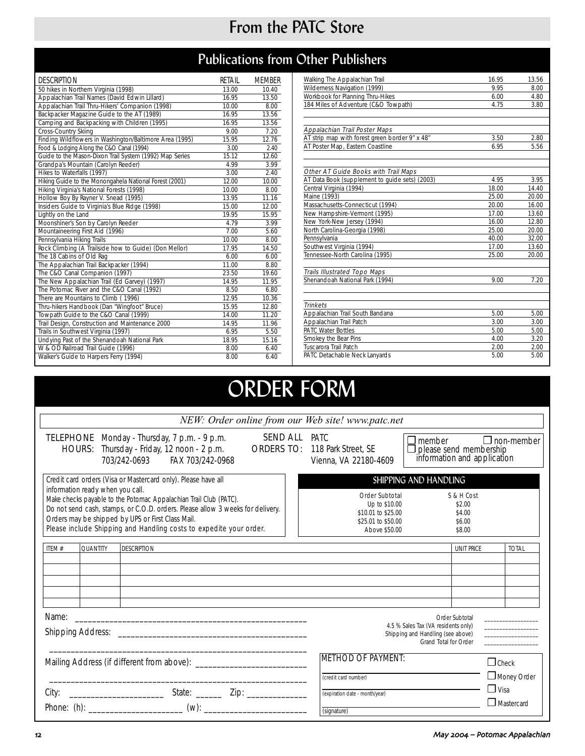# From the PATC Store

# Publications from Other Publishers

| <b>DESCRIPTION</b>                                      | RETAIL | <b>MEMBER</b> |
|---------------------------------------------------------|--------|---------------|
| 50 hikes in Northern Virginia (1998)                    | 13.00  | 10.40         |
| Appalachian Trail Names (David Edwin Lillard)           | 16.95  | 13.50         |
| Appalachian Trail Thru-Hikers' Companion (1998)         | 10.00  | 8.00          |
| Backpacker Magazine Guide to the AT (1989)              | 16.95  | 13.56         |
| Camping and Backpacking with Children (1995)            | 16.95  | 13.56         |
| Cross-Country Skiing                                    | 9.00   | 7.20          |
| Finding Wildflowers in Washington/Baltimore Area (1995) | 15.95  | 12.76         |
| Food & Lodging Along the C&O Canal (1994)               | 3.00   | 2.40          |
| Guide to the Mason-Dixon Trail System (1992) Map Series | 15.12  | 12.60         |
| Grandpa's Mountain (Carolyn Reeder)                     | 4.99   | 3.99          |
| Hikes to Waterfalls (1997)                              | 3.00   | 2.40          |
| Hiking Guide to the Monongahela National Forest (2001)  | 12.00  | 10.00         |
| Hiking Virginia's National Forests (1998)               | 10.00  | 8.00          |
| Hollow Boy By Rayner V. Snead (1995)                    | 13.95  | 11.16         |
| Insiders Guide to Virginia's Blue Ridge (1998)          | 15.00  | 12.00         |
| Lightly on the Land                                     | 19.95  | 15.95         |
| Moonshiner's Son by Carolyn Reeder                      | 4.79   | 3.99          |
| Mountaineering First Aid (1996)                         | 7.00   | 5.60          |
| Pennsylvania Hiking Trails                              | 10.00  | 8.00          |
| Rock Climbing (A Trailside how to Guide) (Don Mellor)   | 17.95  | 14.50         |
| The 18 Cabins of Old Rag                                | 6.00   | 6.00          |
| The Appalachian Trail Backpacker (1994)                 | 11.00  | 8.80          |
| The C&O Canal Companion (1997)                          | 23.50  | 19.60         |
| The New Appalachian Trail (Ed Garvey) (1997)            | 14.95  | 11.95         |
| The Potomac River and the C&O Canal (1992)              | 8.50   | 6.80          |
| There are Mountains to Climb (1996)                     | 12.95  | 10.36         |
| Thru-hikers Handbook (Dan "Wingfoot" Bruce)             | 15.95  | 12.80         |
| Towpath Guide to the C&O Canal (1999)                   | 14.00  | 11.20         |
| Trail Design, Construction and Maintenance 2000         | 14.95  | 11.96         |
| Trails in Southwest Virginia (1997)                     | 6.95   | 5.50          |
| Undying Past of the Shenandoah National Park            | 18.95  | 15.16         |
| W & OD Railroad Trail Guide (1996)                      | 8.00   | 6.40          |
| Walker's Guide to Harpers Ferry (1994)                  | 8.00   | 6.40          |

| Walking The Appalachian Trail                  | 16.95 | 13.56 |
|------------------------------------------------|-------|-------|
| Wilderness Navigation (1999)                   | 9.95  | 8.00  |
| Workbook for Planning Thru-Hikes               | 6.00  | 4.80  |
| 184 Miles of Adventure (C&O Towpath)           | 4.75  | 3.80  |
|                                                |       |       |
| Appalachian Trail Poster Maps                  |       |       |
| AT strip map with forest green border 9" x 48" | 3.50  | 2.80  |
| AT Poster Map, Eastern Coastline               | 6.95  | 5.56  |
|                                                |       |       |
|                                                |       |       |
| Other AT Guide Books with Trail Maps           |       |       |
| AT Data Book (supplement to quide sets) (2003) | 4.95  | 3.95  |
| Central Virginia (1994)                        | 18.00 | 14.40 |
| Maine (1993)                                   | 25.00 | 20.00 |
| Massachusetts-Connecticut (1994)               | 20.00 | 16.00 |
| New Hampshire-Vermont (1995)                   | 17.00 | 13.60 |
| New York-New Jersey (1994)                     | 16.00 | 12.80 |
| North Carolina-Georgia (1998)                  | 25.00 | 20.00 |
| Pennsylvania                                   | 40.00 | 32.00 |
| Southwest Virginia (1994)                      | 17.00 | 13.60 |
| Tennessee-North Carolina (1995)                | 25.00 | 20.00 |
|                                                |       |       |
| <b>Trails Illustrated Topo Maps</b>            |       |       |
| Shenandoah National Park (1994)                | 9.00  | 7.20  |
|                                                |       |       |
| <b>Trinkets</b>                                |       |       |
| Appalachian Trail South Bandana                | 5.00  | 5.00  |
| Appalachian Trail Patch                        | 3.00  | 3.00  |
| <b>PATC Water Bottles</b>                      | 5.00  | 5.00  |
| Smokey the Bear Pins                           | 4.00  | 3.20  |
| Tuscarora Trail Patch                          | 2.00  | 2.00  |
| PATC Detachable Neck Lanyards                  | 5.00  | 5.00  |

# ORDER FORM

| NEW: Order online from our Web site! www.patc.net                                                                                                                                                                                                                                                                                                                                   |                 |                                                                                                                                |                      |                                                                                              |                                                                                                                            |                                   |
|-------------------------------------------------------------------------------------------------------------------------------------------------------------------------------------------------------------------------------------------------------------------------------------------------------------------------------------------------------------------------------------|-----------------|--------------------------------------------------------------------------------------------------------------------------------|----------------------|----------------------------------------------------------------------------------------------|----------------------------------------------------------------------------------------------------------------------------|-----------------------------------|
|                                                                                                                                                                                                                                                                                                                                                                                     |                 | TELEPHONE Monday - Thursday, 7 p.m. - 9 p.m.<br>HOURS: Thursday - Friday, 12 noon - 2 p.m.<br>FAX 703/242-0968<br>703/242-0693 | <b>SEND ALL PATC</b> | <b>ORDERS TO: 118 Park Street, SE</b><br>Vienna, VA 22180-4609                               | $\Box$ member $\Box$ non-member<br>please send membership<br>information and application                                   |                                   |
| Credit card orders (Visa or Mastercard only). Please have all<br>information ready when you call.<br>Make checks payable to the Potomac Appalachian Trail Club (PATC).<br>Do not send cash, stamps, or C.O.D. orders. Please allow 3 weeks for delivery.<br>Orders may be shipped by UPS or First Class Mail.<br>Please include Shipping and Handling costs to expedite your order. |                 |                                                                                                                                |                      | Order Subtotal<br>Up to \$10.00<br>\$10.01 to \$25.00<br>\$25.01 to \$50.00<br>Above \$50.00 | SHIPPING AND HANDLING<br>S & H Cost<br>\$2.00<br>\$4.00<br>\$6.00<br>\$8.00                                                |                                   |
| ITEM $#$                                                                                                                                                                                                                                                                                                                                                                            | <b>QUANTITY</b> | <b>DESCRIPTION</b>                                                                                                             |                      |                                                                                              | <b>UNIT PRICE</b>                                                                                                          | <b>TOTAL</b>                      |
| Name:                                                                                                                                                                                                                                                                                                                                                                               |                 |                                                                                                                                |                      |                                                                                              | Order Subtotal<br>4.5 % Sales Tax (VA residents only)<br>Shipping and Handling (see above)<br><b>Grand Total for Order</b> | and the control of the control of |
|                                                                                                                                                                                                                                                                                                                                                                                     |                 |                                                                                                                                |                      | <b>METHOD OF PAYMENT:</b><br>(credit card number)                                            |                                                                                                                            | $\Box$ Check<br>Money Order       |
|                                                                                                                                                                                                                                                                                                                                                                                     |                 |                                                                                                                                |                      | (expiration date - month/year)<br>(signature)                                                |                                                                                                                            | $\Box$ Visa<br>$\Box$ Mastercard  |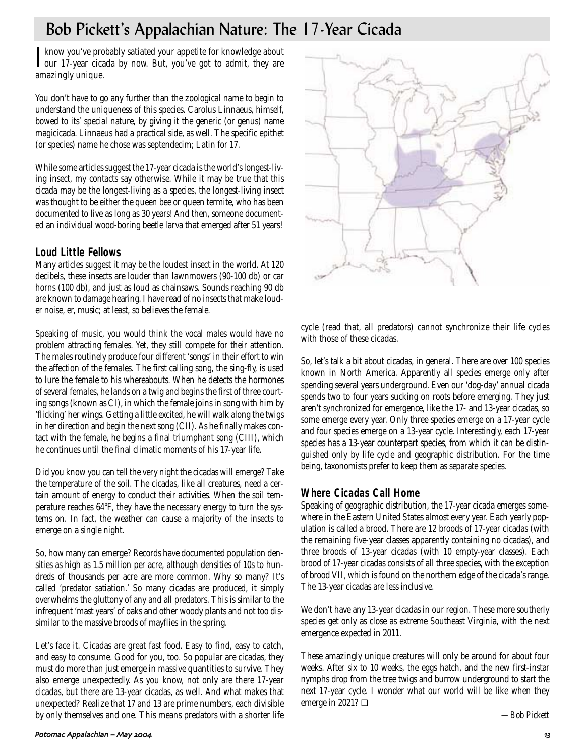# Bob Pickett's Appalachian Nature: The 17-Year Cicada

I know you've probably satiated your appetite for knowledge about<br>I our 17-year cicada by now. But, you've got to admit, they are our 17-year cicada by now. But, you've got to admit, they are amazingly unique.

You don't have to go any further than the zoological name to begin to understand the uniqueness of this species. Carolus Linnaeus, himself, bowed to its' special nature, by giving it the generic (or genus) name magicicada. Linnaeus had a practical side, as well. The specific epithet (or species) name he chose was septendecim; Latin for 17.

While some articles suggest the 17-year cicada is the world's longest-living insect, my contacts say otherwise. While it may be true that this cicada may be the longest-living as a species, the longest-living insect was thought to be either the queen bee or queen termite, who has been documented to live as long as 30 years! And then, someone documented an individual wood-boring beetle larva that emerged after 51 years!

## **Loud Little Fellows**

Many articles suggest it may be the loudest insect in the world. At 120 decibels, these insects are louder than lawnmowers (90-100 db) or car horns (100 db), and just as loud as chainsaws. Sounds reaching 90 db are known to damage hearing. I have read of no insects that make louder noise, er, music; at least, so believes the female.

Speaking of music, you would think the vocal males would have no problem attracting females. Yet, they still compete for their attention. The males routinely produce four different 'songs' in their effort to win the affection of the females. The first calling song, the sing-fly, is used to lure the female to his whereabouts. When he detects the hormones of several females, he lands on a twig and begins the first of three courting songs (known as CI), in which the female joins in song with him by 'flicking' her wings. Getting a little excited, he will walk along the twigs in her direction and begin the next song (CII). As he finally makes contact with the female, he begins a final triumphant song (CIII), which he continues until the final climatic moments of his 17-year life.

Did you know you can tell the very night the cicadas will emerge? Take the temperature of the soil. The cicadas, like all creatures, need a certain amount of energy to conduct their activities. When the soil temperature reaches 64°F, they have the necessary energy to turn the systems on. In fact, the weather can cause a majority of the insects to emerge on a single night.

So, how many can emerge? Records have documented population densities as high as 1.5 million per acre, although densities of 10s to hundreds of thousands per acre are more common. Why so many? It's called 'predator satiation.' So many cicadas are produced, it simply overwhelms the gluttony of any and all predators. This is similar to the infrequent 'mast years' of oaks and other woody plants and not too dissimilar to the massive broods of mayflies in the spring.

Let's face it. Cicadas are great fast food. Easy to find, easy to catch, and easy to consume. Good for you, too. So popular are cicadas, they must do more than just emerge in massive quantities to survive. They also emerge unexpectedly. As you know, not only are there 17-year cicadas, but there are 13-year cicadas, as well. And what makes that unexpected? Realize that 17 and 13 are prime numbers, each divisible by only themselves and one. This means predators with a shorter life



cycle (read that, all predators) cannot synchronize their life cycles with those of these cicadas.

So, let's talk a bit about cicadas, in general. There are over 100 species known in North America. Apparently all species emerge only after spending several years underground. Even our 'dog-day' annual cicada spends two to four years sucking on roots before emerging. They just aren't synchronized for emergence, like the 17- and 13-year cicadas, so some emerge every year. Only three species emerge on a 17-year cycle and four species emerge on a 13-year cycle. Interestingly, each 17-year species has a 13-year counterpart species, from which it can be distinguished only by life cycle and geographic distribution. For the time being, taxonomists prefer to keep them as separate species.

## **Where Cicadas Call Home**

Speaking of geographic distribution, the 17-year cicada emerges somewhere in the Eastern United States almost every year. Each yearly population is called a brood. There are 12 broods of 17-year cicadas (with the remaining five-year classes apparently containing no cicadas), and three broods of 13-year cicadas (with 10 empty-year classes). Each brood of 17-year cicadas consists of all three species, with the exception of brood VII, which is found on the northern edge of the cicada's range. The 13-year cicadas are less inclusive.

We don't have any 13-year cicadas in our region. These more southerly species get only as close as extreme Southeast Virginia, with the next emergence expected in 2011.

These amazingly unique creatures will only be around for about four weeks. After six to 10 weeks, the eggs hatch, and the new first-instar nymphs drop from the tree twigs and burrow underground to start the next 17-year cycle. I wonder what our world will be like when they emerge in 2021? ❏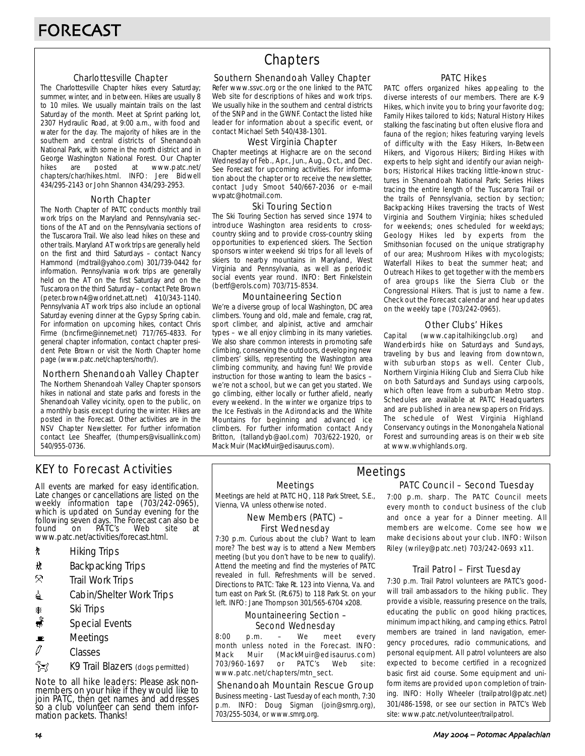## Charlottesville Chapter

The Charlottesville Chapter hikes every Saturday; summer, winter, and in between. Hikes are usually 8 to 10 miles. We usually maintain trails on the last Saturday of the month. Meet at Sprint parking lot, 2307 Hydraulic Road, at 9:00 a.m., with food and water for the day. The majority of hikes are in the southern and central districts of Shenandoah National Park, with some in the north district and in George Washington National Forest. Our Chapter<br>hikes are posted at www.patc.net/ hikes are posted at www.patc.net/ chapters/char/hikes.html. INFO: Jere Bidwell 434/295-2143 or John Shannon 434/293-2953.

## North Chapter

The North Chapter of PATC conducts monthly trail work trips on the Maryland and Pennsylvania sections of the AT and on the Pennsylvania sections of the Tuscarora Trail. We also lead hikes on these and other trails. Maryland AT work trips are generally held on the first and third Saturdays – contact Nancy Hammond (mdtrail@yahoo.com) 301/739-0442 for information. Pennsylvania work trips are generally held on the AT on the first Saturday and on the Tuscarora on the third Saturday – contact Pete Brown (peter.brown4@worldnet.att.net) 410/343-1140. Pennsylvania AT work trips also include an optional Saturday evening dinner at the Gypsy Spring cabin. For information on upcoming hikes, contact Chris Firme (bncfirme@innernet.net) 717/765-4833. For general chapter information, contact chapter president Pete Brown or visit the North Chapter home page (www.patc.net/chapters/north/).

### Northern Shenandoah Valley Chapter

The Northern Shenandoah Valley Chapter sponsors hikes in national and state parks and forests in the Shenandoah Valley vicinity, open to the public, on a monthly basis except during the winter. Hikes are posted in the Forecast. Other activities are in the NSV Chapter Newsletter. For further information contact Lee Sheaffer, (thumpers@visuallink.com) 540/955-0736.

## **Chapters**

### Southern Shenandoah Valley Chapter

Refer www.ssvc.org or the one linked to the PATC Web site for descriptions of hikes and work trips. We usually hike in the southern and central districts of the SNP and in the GWNF. Contact the listed hike leader for information about a specific event, or contact Michael Seth 540/438-1301.

## West Virginia Chapter

Chapter meetings at Highacre are on the second Wednesday of Feb., Apr., Jun., Aug., Oct., and Dec. See Forecast for upcoming activities. For information about the chapter or to receive the newsletter, contact Judy Smoot 540/667-2036 or e-mail wvpatc@hotmail.com.

### Ski Touring Section

The Ski Touring Section has served since 1974 to introduce Washington area residents to crosscountry skiing and to provide cross-country skiing opportunities to experienced skiers. The Section sponsors winter weekend ski trips for all levels of skiers to nearby mountains in Maryland, West Virginia and Pennsylvania, as well as periodic social events year round. INFO: Bert Finkelstein (bertf@erols.com) 703/715-8534.

### Mountaineering Section

We're a diverse group of local Washington, DC area climbers. Young and old, male and female, crag rat, sport climber, and alpinist, active and armchair types – we all enjoy climbing in its many varieties. We also share common interests in promoting safe climbing, conserving the outdoors, developing new climbers' skills, representing the Washington area climbing community, and having fun! We provide instruction for those wanting to learn the basics – we're not a school, but we can get you started. We go climbing, either locally or further afield, nearly every weekend. In the winter we organize trips to the Ice Festivals in the Adirondacks and the White Mountains for beginning and advanced ice climbers. For further information contact Andy Britton, (tallandyb@aol.com) 703/622-1920, or Mack Muir (MackMuir@edisaurus.com).

## PATC Hikes

PATC offers organized hikes appealing to the diverse interests of our members. There are K-9 Hikes, which invite you to bring your favorite dog; Family Hikes tailored to kids; Natural History Hikes stalking the fascinating but often elusive flora and fauna of the region; hikes featuring varying levels of difficulty with the Easy Hikers, In-Between Hikers, and Vigorous Hikers; Birding Hikes with experts to help sight and identify our avian neighbors; Historical Hikes tracking little-known structures in Shenandoah National Park; Series Hikes tracing the entire length of the Tuscarora Trail or the trails of Pennsylvania, section by section; Backpacking Hikes traversing the tracts of West Virginia and Southern Virginia; hikes scheduled for weekends; ones scheduled for weekdays; Geology Hikes led by experts from the Smithsonian focused on the unique stratigraphy of our area; Mushroom Hikes with mycologists; Waterfall Hikes to beat the summer heat; and Outreach Hikes to get together with the members of area groups like the Sierra Club or the Congressional Hikers. That is just to name a few. Check out the Forecast calendar and hear updates on the weekly tape (703/242-0965).

## Other Clubs' Hikes

Capital (www.capitalhikingclub.org) and Wanderbirds hike on Saturdays and Sundays, traveling by bus and leaving from downtown, with suburban stops as well. Center Club, Northern Virginia Hiking Club and Sierra Club hike on both Saturdays and Sundays using carpools, which often leave from a suburban Metro stop. Schedules are available at PATC Headquarters and are published in area newspapers on Fridays. The schedule of West Virginia Highland Conservancy outings in the Monongahela National Forest and surrounding areas is on their web site at www.wvhighlands.org.

## KEY to Forecast Activities

All events are marked for easy identification. Late changes or cancellations are listed on the weekly information tape (703/242-0965), which is updated on Sunday evening for the following seven days. The Forecast can also be<br>found on PATC's Web site at PÁTC's www.patc.net/activities/forecast.html.

- **\*** Hiking Trips
- \* Backpacking Trips
- $\mathcal{R}$  Trail Work Trips
- **i** Cabin/Shelter Work Trips
- \* Ski Trips
- Special Events
- $\blacksquare$  Meetings
- $\varnothing$  Classes
- $\hat{}$  $\hat{}$  $\hat{}$  $\hat{}$

Note to all hike leaders: Please ask nonmembers on your hike if they would like to join PATC, then get names and addresses so a club volunteer can send them information packets. Thanks!

#### Meetings

Meetings are held at PATC HQ, 118 Park Street, S.E., Vienna, VA unless otherwise noted.

## New Members (PATC) – First Wednesday

7:30 p.m. Curious about the club? Want to learn more? The best way is to attend a New Members meeting (but you don't have to be new to qualify). Attend the meeting and find the mysteries of PATC revealed in full. Refreshments will be served. Directions to PATC: Take Rt. 123 into Vienna, Va. and turn east on Park St. (Rt.675) to 118 Park St. on your left. INFO: Jane Thompson 301/565-6704 x208.

## Mountaineering Section – Second Wednesday

8:00 p.m. – We meet every month unless noted in the Forecast. INFO: Mack Muir (MackMuir@edisaurus.com)<br>703/960-1697 or PATC's Web site: 703/960-1697 or PATC's Web site: www.patc.net/chapters/mtn\_sect.

## Shenandoah Mountain Rescue Group

Business meeting - Last Tuesday of each month, 7:30 p.m. INFO: Doug Sigman (join@smrg.org), 703/255-5034, or www.smrg.org.

## PATC Council – Second Tuesday Meetings

7:00 p.m. sharp. The PATC Council meets every month to conduct business of the club and once a year for a Dinner meeting. All members are welcome. Come see how we make decisions about your club. INFO: Wilson Riley (wriley@patc.net) 703/242-0693 x11.

## Trail Patrol – First Tuesday

7:30 p.m. Trail Patrol volunteers are PATC's goodwill trail ambassadors to the hiking public. They provide a visible, reassuring presence on the trails, educating the public on good hiking practices, minimum impact hiking, and camping ethics. Patrol members are trained in land navigation, emergency procedures, radio communications, and personal equipment. All patrol volunteers are also expected to become certified in a recognized basic first aid course. Some equipment and uniform items are provided upon completion of training. INFO: Holly Wheeler (trailpatrol@patc.net) 301/486-1598, or see our section in PATC's Web site: www.patc.net/volunteer/trailpatrol.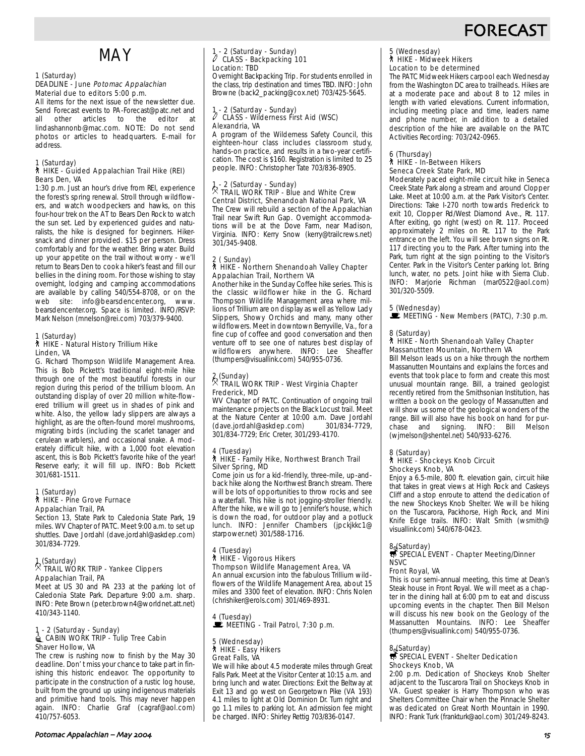# **FORECAS**

# MAY

## 1 (Saturday)

#### DEADLINE - June Potomac Appalachian Material due to editors 5:00 p.m.

All items for the next issue of the newsletter due. Send Forecast events to PA-Forecast@patc.net and<br>all other articles to the editor at other articles to the editor lindashannonb@mac.com. NOTE: Do not send photos or articles to headquarters. E-mail for address.

## 1 (Saturday) ` HIKE - Guided Appalachian Trail Hike (REI) Bears Den, VA

1:30 p.m. Just an hour's drive from REI, experience the forest's spring renewal. Stroll through wildflowers, and watch woodpeckers and hawks, on this four-hour trek on the AT to Bears Den Rock to watch the sun set. Led by experienced guides and naturalists, the hike is designed for beginners. Hikersnack and dinner provided. \$15 per person. Dress comfortably and for the weather. Bring water. Build up your appetite on the trail without worry - we'll return to Bears Den to cook a hiker's feast and fill our bellies in the dining room. For those wishing to stay overnight, lodging and camping accommodations are available by calling 540/554-8708, or on the web site: info@bearsdencenter.org, www. bearsdencenter.org. Space is limited. INFO/RSVP: Mark Nelson (mnelson@rei.com) 703/379-9400.

#### 1 (Saturday) ` HIKE - Natural History Trillium Hike Linden, VA

G. Richard Thompson Wildlife Management Area. This is Bob Pickett's traditional eight-mile hike through one of the most beautiful forests in our region during this period of the trillium bloom. An outstanding display of over 20 million white-flowered trillium will greet us in shades of pink and white. Also, the yellow lady slippers are always a highlight, as are the often-found morel mushrooms, migrating birds (including the scarlet tanager and cerulean warblers), and occasional snake. A moderately difficult hike, with a 1,000 foot elevation ascent, this is Bob Pickett's favorite hike of the year! Reserve early; it will fill up. INFO: Bob Pickett 301/681-1511.

#### 1 (Saturday) ` HIKE - Pine Grove Furnace Appalachian Trail, PA

Section 13, State Park to Caledonia State Park, 19 miles. WV Chapter of PATC. Meet 9:00 a.m. to set up shuttles. Dave Jordahl (dave.jordahl@askdep.com) 301/834-7729.

## 1 (Saturday) . TRAIL WORK TRIP - Yankee Clippers Appalachian Trail, PA

Meet at US 30 and PA 233 at the parking lot of Caledonia State Park. Departure 9:00 a.m. sharp. INFO: Pete Brown (peter.brown4@worldnet.att.net) 410/343-1140.

#### 1 - 2 (Saturday - Sunday) **△ CABIN WORK TRIP - Tulip Tree Cabin** Shaver Hollow, VA

The crew is rushing now to finish by the May 30 deadline. Don' t miss your chance to take part in finishing this historic endeavor. The opportunity to participate in the construction of a rustic log house, built from the ground up using indigenous materials and primitive hand tools. This may never happen again. INFO: Charlie Graf (cagraf@aol.com) 410/757-6053.

## 1 - 2 (Saturday - Sunday) a CLASS - Backpacking 101 Location: TBD

Overnight Backpacking Trip. For students enrolled in the class, trip destination and times TBD. INFO: John Browne (back2\_packing@cox.net) 703/425-5645.

## 1 - 2 (Saturday - Sunday) a CLASS - Wilderness First Aid (WSC) Alexandria, VA

A program of the Wilderness Safety Council, this eighteen-hour class includes classroom study, hands-on practice, and results in a two-year certification. The cost is \$160. Registration is limited to 25 people. INFO: Christopher Tate 703/836-8905.

## 1 - 2 (Saturday - Sunday) . TRAIL WORK TRIP - Blue and White Crew Central District, Shenandoah National Park, VA

The Crew will rebuild a section of the Appalachian Trail near Swift Run Gap. Overnight accommodations will be at the Dove Farm, near Madison, Virginia. INFO: Kerry Snow (kerry@trailcrews.net) 301/345-9408.

#### 2 ( Sunday) ` HIKE - Northern Shenandoah Valley Chapter Appalachian Trail, Northern VA

Another hike in the Sunday Coffee hike series. This is the classic wildflower hike in the G. Richard Thompson Wildlife Management area where millions of Trillium are on display as well as Yellow Lady Slippers, Showy Orchids and many, many other wildflowers. Meet in downtown Berryville, Va., for a fine cup of coffee and good conversation and then venture off to see one of natures best display of wildflowers anywhere. INFO: Lee Sheaffer (thumpers@visuallink.com) 540/955-0736.

## 2 (Sunday) . TRAIL WORK TRIP - West Virginia Chapter Frederick, MD

WV Chapter of PATC. Continuation of ongoing trail maintenance projects on the Black Locust trail. Meet at the Nature Center at 10:00 a.m. Dave Jordahl<br>(dave.iordahl@askdep.com) 301/834-7729. (dave.jordahl@askdep.com) 301/834-7729; Eric Creter, 301/293-4170.

#### 4 (Tuesday) ` HIKE - Family Hike, Northwest Branch Trail Silver Spring, MD

Come join us for a kid-friendly, three-mile, up-andback hike along the Northwest Branch stream. There will be lots of opportunities to throw rocks and see a waterfall. This hike is not jogging-stroller friendly. After the hike, we will go to Jennifer's house, which is down the road, for outdoor play and a potluck lunch. INFO: Jennifer Chambers (jpckjkkc1@ starpower.net) 301/588-1716.

## 4 (Tuesday)

## ` HIKE - Vigorous Hikers

Thompson Wildlife Management Area, VA An annual excursion into the fabulous Trillium wildflowers of the Wildlife Management Area, about 15 miles and 3300 feet of elevation. INFO: Chris Nolen (chrishiker@erols.com) 301/469-8931.

# 4 (Tuesday)<br>■ MEETING - Trail Patrol, 7:30 p.m.

#### 5 (Wednesday) ` HIKE - Easy Hikers Great Falls, VA

We will hike about 4.5 moderate miles through Great Falls Park. Meet at the Visitor Center at 10:15 a.m. and bring lunch and water. Directions: Exit the Beltway at Exit 13 and go west on Georgetown Pike (VA 193) 4.1 miles to light at Old Dominion Dr. Turn right and go 1.1 miles to parking lot. An admission fee might be charged. INFO: Shirley Rettig 703/836-0147.

#### Potomac Appalachian – May 4/

# 5 (Wednesday) ` HIKE - Midweek Hikers

## Location to be determined

The PATC Midweek Hikers carpool each Wednesday from the Washington DC area to trailheads. Hikes are at a moderate pace and about 8 to 12 miles in length with varied elevations. Current information, including meeting place and time, leaders name and phone number, in addition to a detailed description of the hike are available on the PATC Activities Recording: 703/242-0965.

#### 6 (Thursday) ` HIKE - In-Between Hikers Seneca Creek State Park, MD

Moderately paced eight-mile circuit hike in Seneca Creek State Park along a stream and around Clopper Lake. Meet at 10:00 a.m. at the Park Visitor's Center. Directions: Take I-270 north towards Frederick to exit 10, Clopper Rd/West Diamond Ave., Rt. 117. After exiting, go right (west) on Rt. 117. Proceed approximately 2 miles on Rt. 117 to the Park entrance on the left. You will see brown signs on Rt. 117 directing you to the Park. After turning into the Park, turn right at the sign pointing to the Visitor's Center. Park in the Visitor's Center parking lot. Bring lunch, water, no pets. Joint hike with Sierra Club. INFO: Marjorie Richman (mar0522@aol.com) 301/320-5509.

5 (Wednesday)<br>■ MEETING - New Members (PATC), 7:30 p.m.

## 8 (Saturday) ` HIKE - North Shenandoah Valley Chapter Massanuttten Mountain, Northern VA

Bill Melson leads us on a hike through the northern Massanutten Mountains and explains the forces and events that took place to form and create this most unusual mountain range. Bill, a trained geologist recently retired from the Smithsonian Institution, has written a book on the geology of Massanutten and will show us some of the geological wonders of the range. Bill will also have his book on hand for purchase and signing. INFO: Bill Melson (wjmelson@shentel.net) 540/933-6276.

#### 8 (Saturday) ` HIKE - Shockeys Knob Circuit Shockeys Knob, VA

Enjoy a 6.5-mile, 800 ft. elevation gain, circuit hike that takes in great views at High Rock and Caskeys Cliff and a stop enroute to attend the dedication of the new Shockeys Knob Shelter. We will be hiking on the Tuscarora, Packhorse, High Rock, and Mini Knife Edge trails. INFO: Walt Smith (wsmith@ visuallink.com) 540/678-0423.

## 8. (Saturday)<br>5 SPECIAL EVENT - Chapter Meeting/Dinner **NSVC**

#### Front Royal, VA

This is our semi-annual meeting, this time at Dean's Steak house in Front Royal. We will meet as a chapter in the dining hall at 6:00 pm to eat and discuss upcoming events in the chapter. Then Bill Melson will discuss his new book on the Geology of the Massanutten Mountains. INFO: Lee Sheaffer (thumpers@visuallink.com) 540/955-0736.

## 8.(Saturday)<br>寻 SPECIAL EVENT - Shelter Dedication Shockeys Knob, VA

2:00 p.m. Dedication of Shockeys Knob Shelter adjacent to the Tuscarora Trail on Shockeys Knob in VA. Guest speaker is Harry Thompson who was Shelters Committee Chair when the Pinnacle Shelter was dedicated on Great North Mountain in 1990. INFO: Frank Turk (frankturk@aol.com) 301/249-8243.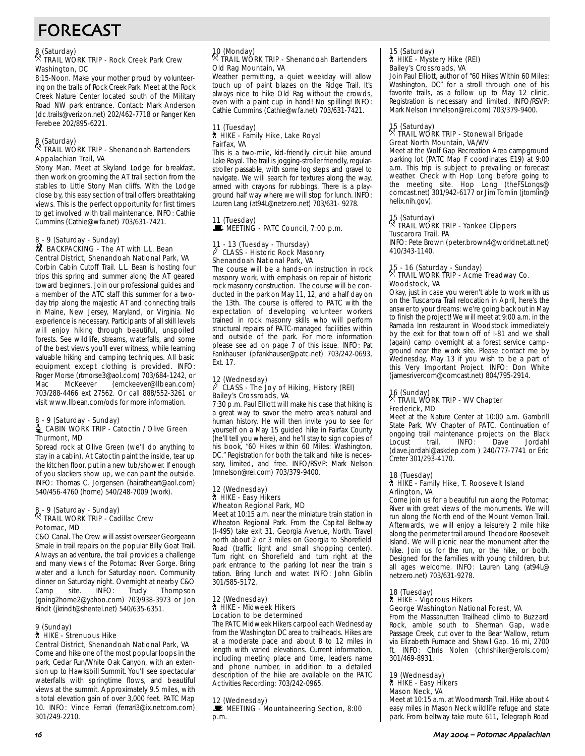# FORECAST

## 8 (Saturday) . TRAIL WORK TRIP - Rock Creek Park Crew Washington, DC

8:15-Noon. Make your mother proud by volunteering on the trails of Rock Creek Park. Meet at the Rock Creek Nature Center located south of the Military Road NW park entrance. Contact: Mark Anderson (dc.trails@verizon.net) 202/462-7718 or Ranger Ken Ferebee 202/895-6221.

## 8 (Saturday) . TRAIL WORK TRIP - Shenandoah Bartenders Appalachian Trail, VA

Stony Man. Meet at Skyland Lodge for breakfast, then work on grooming the AT trail section from the stables to Little Stony Man cliffs. With the Lodge close by, this easy section of trail offers breathtaking views. This is the perfect opportunity for first timers to get involved with trail maintenance. INFO: Cathie Cummins (Cathie@wfa.net) 703/631-7421.

## 8 - 9 (Saturday - Sunday)

#### **M** BACKPACKING - The AT with L.L. Bean Central District, Shenandoah National Park, VA

Corbin Cabin Cutoff Trail. L.L. Bean is hosting four trips this spring and summer along the AT geared toward beginners. Join our professional guides and a member of the ATC staff this summer for a twoday trip along the majestic AT and connecting trails in Maine, New Jersey, Maryland, or Virginia. No experience is necessary. Participants of all skill levels will enjoy hiking through beautiful, unspoiled forests. See wildlife, streams, waterfalls, and some of the best views you'll ever witness, while learning valuable hiking and camping techniques. All basic equipment except clothing is provided. INFO: Roger Morse (rtmorse3@aol.com) 703/684-1242, or Mac McKeever (emckeever@llbean.com) 703/288-4466 ext 27562. Or call 888/552-3261 or visit www.llbean.com/ods for more information.

#### 8 - 9 (Saturday - Sunday) CABIN WORK TRIP - Catoctin / Olive Green Thurmont, MD

Spread rock at Olive Green (we'll do anything to stay in a cabin). At Catoctin paint the inside, tear up the kitchen floor, put in a new tub/shower. If enough of you slackers show up, we can paint the outside. INFO: Thomas C. Jorgensen (hairatheart@aol.com) 540/456-4760 (home) 540/248-7009 (work).

## 8 - 9 (Saturday - Sunday) . TRAIL WORK TRIP - Cadillac Crew Potomac, MD

C&O Canal. The Crew will assist overseer Georgeann Smale in trail repairs on the popular Billy Goat Trail. Always an adventure, the trail provides a challenge and many views of the Potomac River Gorge. Bring water and a lunch for Saturday noon. Community dinner on Saturday night. Overnight at nearby C&O Camp site. INFO: Trudy Thompson (going2home2@yahoo.com) 703/938-3973 or Jon Rindt (jkrindt@shentel.net) 540/635-6351.

## 9 (Sunday)

## ` HIKE - Strenuous Hike

Central District, Shenandoah National Park, VA Come and hike one of the most popular loops in the park, Cedar Run/White Oak Canyon, with an extension up to Hawksbill Summit. You'll see spectacular waterfalls with springtime flows, and beautiful views at the summit. Approximately 9.5 miles, with a total elevation gain of over 3,000 feet. PATC Map 10. INFO: Vince Ferrari (ferrari3@ix.netcom.com) 301/249-2210.

## 10 (Monday) . TRAIL WORK TRIP - Shenandoah Bartenders Old Rag Mountain, VA

Weather permitting, a quiet weekday will allow touch up of paint blazes on the Ridge Trail. It's always nice to hike Old Rag without the crowds, even with a paint cup in hand! No spilling! INFO: Cathie Cummins (Cathie@wfa.net) 703/631-7421.

#### 11 (Tuesday) ` HIKE - Family Hike, Lake Royal Fairfax, VA

This is a two-mile, kid-friendly circuit hike around Lake Royal. The trail is jogging-stroller friendly, regularstroller passable, with some log steps and gravel to navigate. We will search for textures along the way, armed with crayons for rubbings. There is a playground half way where we will stop for lunch. INFO: Lauren Lang (at94L@netzero.net) 703/631- 9278.

#### 11 (Tuesday)  $\mathbb{E}$  MEETING - PATC Council, 7:00 p.m.

#### 11 - 13 (Tuesday - Thursday) CLASS - Historic Rock Masonry Shenandoah National Park, VA

The course will be a hands-on instruction in rock masonry work, with emphasis on repair of historic rock masonry construction. The course will be conducted in the park on May 11, 12, and a half day on the 13th. The course is offered to PATC with the expectation of developing volunteer workers trained in rock masonry skills who will perform structural repairs of PATC-managed facilities within and outside of the park. For more information please see ad on page 7 of this issue. INFO: Pat Fankhauser (pfankhauser@patc.net) 703/242-0693, Ext. 17.

## 12 (Wednesday)<br> *CLASS* a CLASS - The Joy of Hiking, History (REI) Bailey's Crossroads, VA

7:30 p.m. Paul Elliott will make his case that hiking is a great way to savor the metro area's natural and human history. He will then invite you to see for yourself on a May 15 guided hike in Fairfax County (he'll tell you where), and he'll stay to sign copies of his book, "60 Hikes within 60 Miles: Washington, DC." Registration for both the talk and hike is necessary, limited, and free. INFO/RSVP: Mark Nelson (mnelson@rei.com) 703/379-9400.

### 12 (Wednesday) ` HIKE - Easy Hikers Wheaton Regional Park, MD

Meet at 10:15 a.m. near the miniature train station in Wheaton Regional Park. From the Capital Beltway (I-495) take exit 31, Georgia Avenue, North. Travel north about 2 or 3 miles on Georgia to Shorefield Road (traffic light and small shopping center). Turn right on Shorefield and turn right at the park entrance to the parking lot near the train s tation. Bring lunch and water. INFO: John Giblin 301/585-5172.

#### 12 (Wednesday) ` HIKE - Midweek Hikers Location to be determined

The PATC Midweek Hikers carpool each Wednesday from the Washington DC area to trailheads. Hikes are at a moderate pace and about 8 to 12 miles in length with varied elevations. Current information, including meeting place and time, leaders name and phone number, in addition to a detailed description of the hike are available on the PATC Activities Recording: 703/242-0965.

#### 12 (Wednesday)

MEETING - Mountaineering Section, 8:00 p.m.

## 15 (Saturday) ` HIKE - Mystery Hike (REI) Bailey's Crossroads, VA

Join Paul Elliott, author of "60 Hikes Within 60 Miles: Washington, DC" for a stroll through one of his favorite trails, as a follow up to May 12 clinic. Registration is necessary and limited. INFO/RSVP: Mark Nelson (mnelson@rei.com) 703/379-9400.

## 15 (Saturday) . TRAIL WORK TRIP - Stonewall Brigade Great North Mountain, VA/WV

Meet at the Wolf Gap Recreation Area campground parking lot (PATC Map F coordinates E19) at 9:00 a.m. This trip is subject to prevailing or forecast weather. Check with Hop Long before going to the meeting site. Hop Long (theFSLongs@ comcast.net) 301/942-6177 or Jim Tomlin (jtomlin@ helix.nih.gov).

## 15 (Saturday) . TRAIL WORK TRIP - Yankee Clippers Tuscarora Trail, PA

INFO: Pete Brown (peter.brown4@worldnet.att.net) 410/343-1140.

## 15 - 16 (Saturday - Sunday) . TRAIL WORK TRIP - Acme Treadway Co. Woodstock, VA

Okay, just in case you weren't able to work with us on the Tuscarora Trail relocation in April, here's the answer to your dreams: we're going back out in May to finish the project! We will meet at 9:00 a.m. in the Ramada Inn restaurant in Woodstock immediately by the exit for that town off of I-81 and we shall (again) camp overnight at a forest service campground near the work site. Please contact me by Wednesday, May 13 if you wish to be a part of this Very Important Project. INFO: Don White (jamesrivercom@comcast.net) 804/795-2914.

## 16 (Sunday) . TRAIL WORK TRIP - WV Chapter Frederick, MD

Meet at the Nature Center at 10:00 a.m. Gambrill State Park. WV Chapter of PATC. Continuation of ongoing trail maintenance projects on the Black<br>Locust trail. INFO: Dave Jordahl Locust trail. INFO: Dave Jordahl (dave.jordahl@askdep.com ) 240/777-7741 or Eric Creter 301/293-4170.

#### 18 (Tuesday)

#### ` HIKE - Family Hike, T. Roosevelt Island Arlington, VA

Come join us for a beautiful run along the Potomac River with great views of the monuments. We will run along the North end of the Mount Vernon Trail. Afterwards, we will enjoy a leisurely 2 mile hike along the perimeter trail around Theodore Roosevelt Island. We will picnic near the monument after the hike. Join us for the run, or the hike, or both. Designed for the families with young children, but all ages welcome. INFO: Lauren Lang (at94L@ netzero.net) 703/631-9278.

#### 18 (Tuesday) ` HIKE - Vigorous Hikers George Washington National Forest, VA

From the Massanutten Trailhead climb to Buzzard Rock, amble south to Sherman Gap, wade Passage Creek, cut over to the Bear Wallow, return via Elizabeth Furnace and Shawl Gap. 16 mi, 2700 ft. INFO: Chris Nolen (chrishiker@erols.com) 301/469-8931.

#### 19 (Wednesday) ` HIKE - Easy Hikers

## Mason Neck, VA

Meet at 10:15 a.m. at Woodmarsh Trail. Hike about 4 easy miles in Mason Neck wildlife refuge and state park. From beltway take route 611, Telegraph Road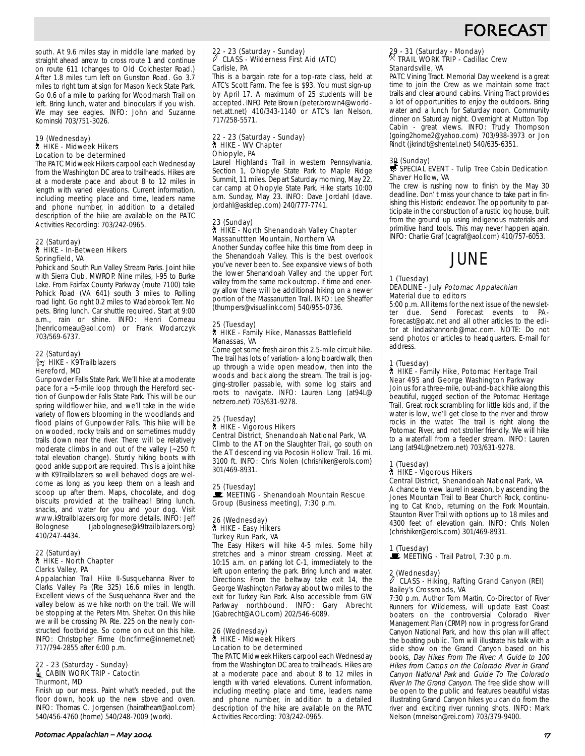# **FORECAST**

south. At 9.6 miles stay in middle lane marked by straight ahead arrow to cross route 1 and continue on route 611 (changes to Old Colchester Road.) After 1.8 miles turn left on Gunston Road. Go 3.7 miles to right turn at sign for Mason Neck State Park. Go 0.6 of a mile to parking for Woodmarsh Trail on left. Bring lunch, water and binoculars if you wish. We may see eagles. INFO: John and Suzanne Kominski 703/751-3026.

#### 19 (Wednesday) ` HIKE - Midweek Hikers Location to be determined

The PATC Midweek Hikers carpool each Wednesday from the Washington DC area to trailheads. Hikes are at a moderate pace and about 8 to 12 miles in length with varied elevations. Current information, including meeting place and time, leaders name and phone number, in addition to a detailed description of the hike are available on the PATC Activities Recording: 703/242-0965.

#### 22 (Saturday) ` HIKE - In-Between Hikers Springfield, VA

Pohick and South Run Valley Stream Parks. Joint hike with Sierra Club, MWROP. Nine miles, I-95 to Burke Lake. From Fairfax County Parkway (route 7100) take Pohick Road (VA 641) south 3 miles to Rolling road light. Go right 0.2 miles to Wadebrook Terr. No pets. Bring lunch. Car shuttle required. Start at 9:00 a.m., rain or shine. INFO: Henri Comeau (henricomeau@aol.com) or Frank Wodarczyk 703/569-6737.

#### 22 (Saturday)  $\frac{2}{3}$  HIKE - K9Trailblazers Hereford, MD

Gunpowder Falls State Park. We'll hike at a moderate pace for a ~5-mile loop through the Hereford section of Gunpowder Falls State Park. This will be our spring wildflower hike, and we'll take in the wide variety of flowers blooming in the woodlands and flood plains of Gunpowder Falls. This hike will be on wooded, rocky trails and on sometimes muddy trails down near the river. There will be relatively moderate climbs in and out of the valley (~250 ft total elevation change). Sturdy hiking boots with good ankle support are required. This is a joint hike with K9Trailblazers so well behaved dogs are welcome as long as you keep them on a leash and scoop up after them. Maps, chocolate, and dog biscuits provided at the trailhead! Bring lunch, snacks, and water for you and your dog. Visit www.k9trailblazers.org for more details. INFO: Jeff Bolognese (jabolognese@k9trailblazers.org) 410/247-4434.

#### 22 (Saturday) ` HIKE - North Chapter Clarks Valley, PA

Appalachian Trail Hike II-Susquehanna River to Clarks Valley Pa (Rte 325) 16.6 miles in length. Excellent views of the Susquehanna River and the valley below as we hike north on the trail. We will be stopping at the Peters Mtn. Shelter. On this hike we will be crossing PA Rte. 225 on the newly constructed footbridge. So come on out on this hike. INFO: Christopher Firme (bncfirme@innernet.net) 717/794-2855 after 6:00 p.m.

#### 22 - 23 (Saturday - Sunday) d CABIN WORK TRIP - Catoctin Thurmont, MD

Finish up our mess. Paint what's needed, put the floor down, hook up the new stove and oven. INFO: Thomas C. Jorgensen (hairatheart@aol.com) 540/456-4760 (home) 540/248-7009 (work).

## 22 - 23 (Saturday - Sunday) a CLASS - Wilderness First Aid (ATC) Carlisle, PA

This is a bargain rate for a top-rate class, held at ATC's Scott Farm. The fee is \$93. You must sign-up by April 17. A maximum of 25 students will be accepted. INFO Pete Brown (peter.brown4@worldnet.att.net) 410/343-1140 or ATC's Ian Nelson, 717/258-5571.

## 22 - 23 (Saturday - Sunday) ` HIKE - WV Chapter Ohiopyle, PA

Laurel Highlands Trail in western Pennsylvania, Section 1, Ohiopyle State Park to Maple Ridge Summit, 11 miles. Depart Saturday morning, May 22, car camp at Ohiopyle State Park. Hike starts 10:00 a.m. Sunday, May 23. INFO: Dave Jordahl (dave. jordahl@askdep.com) 240/777-7741.

#### 23 (Sunday) ` HIKE - North Shenandoah Valley Chapter Massanuttten Mountain, Northern VA

Another Sunday coffee hike this time from deep in the Shenandoah Valley. This is the best overlook you've never been to. See expansive views of both the lower Shenandoah Valley and the upper Fort valley from the same rock outcrop. If time and energy allow there will be additional hiking on a newer portion of the Massanutten Trail. INFO: Lee Sheaffer (thumpers@visuallink.com) 540/955-0736.

#### 25 (Tuesday) ` HIKE - Family Hike, Manassas Battlefield Manassas, VA

Come get some fresh air on this 2.5-mile circuit hike. The trail has lots of variation- a long boardwalk, then up through a wide open meadow, then into the woods and back along the stream. The trail is jogging-stroller passable, with some log stairs and roots to navigate. INFO: Lauren Lang (at94L@ netzero.net) 703/631-9278.

#### 25 (Tuesday) ` HIKE - Vigorous Hikers Central District, Shenandoah National Park, VA

Climb to the AT on the Slaughter Trail, go south on the AT descending via Pocosin Hollow Trail. 16 mi. 3100 ft. INFO: Chris Nolen (chrishiker@erols.com) 301/469-8931.

25 (Tuesday)<br>■ MEETING - Shenandoah Mountain Rescue Group (Business meeting), 7:30 p.m.

#### 26 (Wednesday) ` HIKE - Easy Hikers Turkey Run Park, VA

The Easy Hikers will hike 4-5 miles. Some hilly stretches and a minor stream crossing. Meet at 10:15 a.m. on parking lot C-1, immediately to the left upon entering the park. Bring lunch and water. Directions: From the beltway take exit 14, the George Washington Parkway about two miles to the exit for Turkey Run Park. Also accessible from GW Parkway northbound. INFO: Gary Abrecht (Gabrecht@AOL.com) 202/546-6089.

#### 26 (Wednesday) ` HIKE - Midweek Hikers Location to be determined

The PATC Midweek Hikers carpool each Wednesday from the Washington DC area to trailheads. Hikes are at a moderate pace and about 8 to 12 miles in length with varied elevations. Current information, including meeting place and time, leaders name and phone number, in addition to a detailed description of the hike are available on the PATC Activities Recording: 703/242-0965.

## 29 - 31 (Saturday - Monday) . TRAIL WORK TRIP - Cadillac Crew Stanardsville, VA

PATC Vining Tract. Memorial Day weekend is a great time to join the Crew as we maintain some tract trails and clear around cabins. Vining Tract provides a lot of opportunities to enjoy the outdoors. Bring water and a lunch for Saturday noon. Community dinner on Saturday night. Overnight at Mutton Top Cabin - great views. INFO: Trudy Thompson (going2home2@yahoo.com) 703/938-3973 or Jon Rindt (jkrindt@shentel.net) 540/635-6351.

## 30 (Sunday)<br>SPECIAL EVENT - Tulip Tree Cabin Dedication Shaver Hollow, VA

The crew is rushing now to finish by the May 30 deadline. Don' t miss your chance to take part in finishing this Historic endeavor. The opportunity to participate in the construction of a rustic log house, built from the ground up using indigenous materials and primitive hand tools. This may never happen again. INFO: Charlie Graf (cagraf@aol.com) 410/757-6053.

# JUNE

#### 1 (Tuesday) DEADLINE - July Potomac Appalachian Material due to editors

5:00 p.m. All items for the next issue of the newsletter due. Send Forecast events to PA-Forecast@patc.net and all other articles to the editor at lindashannonb@mac.com. NOTE: Do not send photos or articles to headquarters. E-mail for address.

### 1 (Tuesday)

#### ` HIKE - Family Hike, Potomac Heritage Trail Near 495 and George Washington Parkway

Join us for a three-mile, out-and-back hike along this beautiful, rugged section of the Potomac Heritage Trail. Great rock scrambling for little kids and, if the water is low, we'll get close to the river and throw rocks in the water. The trail is right along the Potomac River, and not stroller friendly. We will hike to a waterfall from a feeder stream. INFO: Lauren Lang (at94L@netzero.net) 703/631-9278.

## 1 (Tuesday)

## ` HIKE - Vigorous Hikers

Central District, Shenandoah National Park, VA A chance to view laurel in season, by ascending the Jones Mountain Trail to Bear Church Rock, continuing to Cat Knob, returning on the Fork Mountain, Staunton River Trail with options up to 18 miles and 4300 feet of elevation gain. INFO: Chris Nolen (chrishiker@erols.com) 301/469-8931.

## 1 (Tuesday)

 $\mathbb{R}$  MEETING - Trail Patrol, 7:30 p.m.

## 2 (Wednesday) a CLASS - Hiking, Rafting Grand Canyon (REI) Bailey's Crossroads, VA

7:30 p.m. Author Tom Martin, Co-Director of River Runners for Wilderness, will update East Coast boaters on the controversial Colorado River Management Plan (CRMP) now in progress for Grand Canyon National Park, and how this plan will affect the boating public. Tom will illustrate his talk with a slide show on the Grand Canyon based on his books, Day Hikes From The River: A Guide to 100 Hikes from Camps on the Colorado River in Grand Canyon National Park and Guide To The Colorado River In The Grand Canyon. The free slide show will be open to the public and features beautiful vistas illustrating Grand Canyon hikes you can do from the river and exciting river running shots. INFO: Mark Nelson (mnelson@rei.com) 703/379-9400.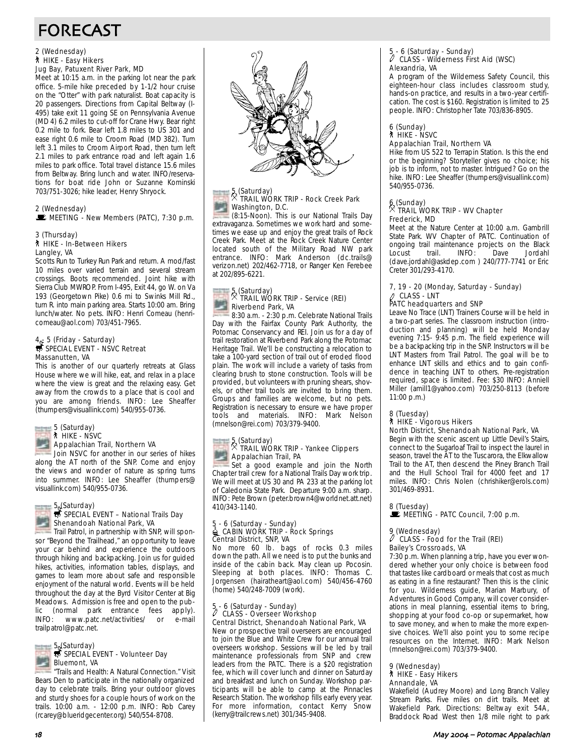# FORECAST

## 2 (Wednesday) ` HIKE - Easy Hikers Jug Bay, Patuxent River Park, MD

Meet at 10:15 a.m. in the parking lot near the park office. 5-mile hike preceded by 1-1/2 hour cruise on the "Otter" with park naturalist. Boat capacity is 20 passengers. Directions from Capital Beltway (I-495) take exit 11 going SE on Pennsylvania Avenue (MD 4) 6.2 miles to cut-off for Crane Hwy. Bear right 0.2 mile to fork. Bear left 1.8 miles to US 301 and ease right 0.6 mile to Croom Road (MD 382). Turn left 3.1 miles to Croom Airport Road, then turn left 2.1 miles to park entrance road and left again 1.6 miles to park office. Total travel distance 15.6 miles from Beltway. Bring lunch and water. INFO/reservations for boat ride John or Suzanne Kominski 703/751-3026; hike leader, Henry Shryock.

#### 2 (Wednesday) MEETING - New Members (PATC), 7:30 p.m.

#### 3 (Thursday) ` HIKE - In-Between Hikers Langley, VA

Scotts Run to Turkey Run Park and return. A mod/fast 10 miles over varied terrain and several stream crossings. Boots recommended. Joint hike with Sierra Club MWROP. From I-495, Exit 44, go W. on Va 193 (Georgetown Pike) 0.6 mi to Swinks Mill Rd., turn R. into main parking area. Starts 10:00 am. Bring lunch/water. No pets. INFO: Henri Comeau (henricomeau@aol.com) 703/451-7965.

## 4 $_{\mathfrak{F}}$  5 (Friday - Saturday)<br> $\overline{\mathfrak{B}}$  SPECIAL EVENT - NSVC Retreat Massanutten, VA

This is another of our quarterly retreats at Glass House where we will hike, eat, and relax in a place where the view is great and the relaxing easy. Get away from the crowds to a place that is cool and you are among friends. INFO: Lee Sheaffer (thumpers@visuallink.com) 540/955-0736.



#### ` HIKE - NSVC Appalachian Trail, Northern VA

Join NSVC for another in our series of hikes along the AT north of the SNP. Come and enjoy the views and wonder of nature as spring turns into summer. INFO: Lee Sheaffer (thumpers@ visuallink.com) 540/955-0736.

## $5\frac{1}{5}$  (Saturday)<br> $\frac{1}{5}$  SPECIAL EVENT – National Trails Day Shenandoah National Park, VA

Trail Patrol, in partnership with SNP, will sponsor "Beyond the Trailhead," an opportunity to leave your car behind and experience the outdoors through hiking and backpacking. Join us for guided hikes, activities, information tables, displays, and games to learn more about safe and responsible enjoyment of the natural world. Events will be held throughout the day at the Byrd Visitor Center at Big Meadows. Admission is free and open to the public (normal park entrance fees apply). INFO: www.patc.net/activities/ or e-mail trailpatrol@patc.net.



"Trails and Health: A Natural Connection." Visit Bears Den to participate in the nationally organized day to celebrate trails. Bring your outdoor gloves and sturdy shoes for a couple hours of work on the trails. 10:00 a.m. - 12:00 p.m. INFO: Rob Carey (rcarey@blueridgecenter.org) 540/554-8708.



## 5 (Saturday) . TRAIL WORK TRIP - Rock Creek Park Washington, D.C.

(8:15-Noon). This is our National Trails Day extravaganza. Sometimes we work hard and sometimes we ease up and enjoy the great trails of Rock Creek Park. Meet at the Rock Creek Nature Center located south of the Military Road NW park entrance. INFO: Mark Anderson (dc.trails@ verizon.net) 202/462-7718, or Ranger Ken Ferebee at 202/895-6221.

## 5 (Saturday) . TRAIL WORK TRIP - Service (REI) Riverbend Park, VA

8:30 a.m. - 2:30 p.m. Celebrate National Trails Day with the Fairfax County Park Authority, the Potomac Conservancy and REI. Join us for a day of trail restoration at Riverbend Park along the Potomac Heritage Trail. We'll be constructing a relocation to take a 100-yard section of trail out of eroded flood plain. The work will include a variety of tasks from clearing brush to stone construction. Tools will be provided, but volunteers with pruning shears, shovels, or other trail tools are invited to bring them. Groups and families are welcome, but no pets. Registration is necessary to ensure we have proper tools and materials. INFO: Mark Nelson (mnelson@rei.com) 703/379-9400.

## 5 (Saturday) . TRAIL WORK TRIP - Yankee Clippers **Appalachian Trail, PA**

Set a good example and join the North Chapter trail crew for a National Trails Day work trip. We will meet at US 30 and PA 233 at the parking lot of Caledonia State Park. Departure 9:00 a.m. sharp. INFO: Pete Brown (peter.brown4@worldnet.att.net) 410/343-1140.

## 5 - 6 (Saturday - Sunday)<br>  $\triangleq$  CABIN WORK TRIP - Rock Springs Central District, SNP, VA

No more 60 lb. bags of rocks 0.3 miles down the path. All we need is to put the bunks and inside of the cabin back. May clean up Pocosin. Sleeping at both places. INFO: Thomas C. Jorgensen (hairatheart@aol.com) 540/456-4760 (home) 540/248-7009 (work).

## 5 - 6 (Saturday - Sunday) a CLASS - Overseer Workshop Central District, Shenandoah National Park, VA

New or prospective trail overseers are encouraged to join the Blue and White Crew for our annual trail overseers workshop. Sessions will be led by trail maintenance professionals from SNP and crew leaders from the PATC. There is a \$20 registration fee, which will cover lunch and dinner on Saturday and breakfast and lunch on Sunday. Workshop participants will be able to camp at the Pinnacles Research Station. The workshop fills early every year. For more information, contact Kerry Snow (kerry@trailcrews.net) 301/345-9408.

## 5 - 6 (Saturday - Sunday) a CLASS - Wilderness First Aid (WSC) Alexandria, VA

A program of the Wilderness Safety Council, this eighteen-hour class includes classroom study, hands-on practice, and results in a two-year certification. The cost is \$160. Registration is limited to 25 people. INFO: Christopher Tate 703/836-8905.

## 6 (Sunday) ` HIKE - NSVC

## Appalachian Trail, Northern VA

Hike from US 522 to Terrapin Station. Is this the end or the beginning? Storyteller gives no choice; his job is to inform, not to master. Intrigued? Go on the hike. INFO: Lee Sheaffer (thumpers@visuallink.com) 540/955-0736.

## 6 (Sunday) . TRAIL WORK TRIP - WV Chapter Frederick, MD

Meet at the Nature Center at 10:00 a.m. Gambrill State Park. WV Chapter of PATC. Continuation of ongoing trail maintenance projects on the Black<br>Locust trail. INFO: Dave Jordahl Locust trail. INFO: (dave.jordahl@askdep.com ) 240/777-7741 or Eric Creter 301/293-4170.

## 7, 19 - 20 (Monday, Saturday - Sunday)<br> *|* CLASS - LNT  $\mathscr{J}\,$  CLASS - LNT<br>PATC headquarters and SNP

Leave No Trace (LNT) Trainers Course will be held in a two-part series. The classroom instruction (introduction and planning) will be held Monday evening 7:15- 9:45 p.m. The field experience will be a backpacking trip in the SNP. Instructors will be LNT Masters from Trail Patrol. The goal will be to enhance LNT skills and ethics and to gain confidence in teaching LNT to others. Pre-registration required, space is limited. Fee: \$30 INFO: Anniell Miller (amill1@yahoo.com) 703/250-8113 (before 11:00 p.m.)

## 8 (Tuesday) ` HIKE - Vigorous Hikers

#### North District, Shenandoah National Park, VA

Begin with the scenic ascent up Little Devil's Stairs, connect to the Sugarloaf Trail to inspect the laurel in season, travel the AT to the Tuscarora, the Elkwallow Trail to the AT, then descend the Piney Branch Trail and the Hull School Trail for 4000 feet and 17 miles. INFO: Chris Nolen (chrishiker@erols.com) 301/469-8931.

## 8 (Tuesday)  $\mathbb{R}$  MEETING - PATC Council, 7:00 p.m.

## 9 (Wednesday)<br>
<sup>2</sup> CLASS CLASS - Food for the Trail (REI) Bailey's Crossroads, VA

7:30 p.m. When planning a trip, have you ever wondered whether your only choice is between food that tastes like cardboard or meals that cost as much as eating in a fine restaurant? Then this is the clinic for you. Wilderness guide, Marian Marbury, of Adventures in Good Company, will cover considerations in meal planning, essential items to bring, shopping at your food co-op or supermarket, how to save money, and when to make the more expensive choices. We'll also point you to some recipe resources on the Internet. INFO: Mark Nelson (mnelson@rei.com) 703/379-9400.

#### 9 (Wednesday) ` HIKE - Easy Hikers Annandale, VA

Wakefield (Audrey Moore) and Long Branch Valley Stream Parks. Five miles on dirt trails. Meet at Wakefield Park. Directions: Beltway exit 54A, Braddock Road West then 1/8 mile right to park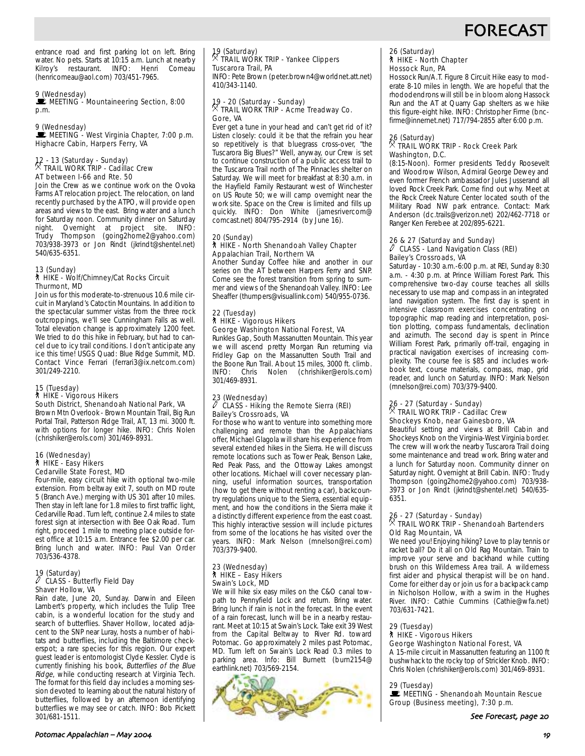

entrance road and first parking lot on left. Bring water. No pets. Starts at 10:15 a.m. Lunch at nearby<br>Kilrov's restaurant. INFO: Henri Comeau Kilroy's restaurant. INFO: Henri (henricomeau@aol.com) 703/451-7965.

## 9 (Wednesday)

**WEETING - Mountaineering Section, 8:00** p.m.

9 (Wednesday)<br>■ MEETING - West Virginia Chapter, 7:00 p.m. Highacre Cabin, Harpers Ferry, VA

## 12 - 13 (Saturday - Sunday) . TRAIL WORK TRIP - Cadillac Crew AT between I-66 and Rte. 50

Join the Crew as we continue work on the Ovoka Farms AT relocation project. The relocation, on land recently purchased by the ATPO, will provide open areas and views to the east. Bring water and a lunch for Saturday noon. Community dinner on Saturday night. Overnight at project site. INFO: Trudy Thompson (going2home2@yahoo.com) 703/938-3973 or Jon Rindt (jkrindt@shentel.net) 540/635-6351.

## 13 (Sunday)<br>┆ HIKE - Wolf/Chimney/Cat Rocks Circuit Thurmont, MD

Join us for this moderate-to-strenuous 10.6 mile circuit in Maryland's Catoctin Mountains. In addition to the spectacular summer vistas from the three rock outcroppings, we'll see Cunningham Falls as well. Total elevation change is approximately 1200 feet. We tried to do this hike in February, but had to cancel due to icy trail conditions. I don't anticipate any ice this time! USGS Quad: Blue Ridge Summit, MD. Contact Vince Ferrari (ferrari3@ix.netcom.com) 301/249-2210.

#### 15 (Tuesday) ` HIKE - Vigorous Hikers South District, Shenandoah National Park, VA

Brown Mtn Overlook - Brown Mountain Trail, Big Run Portal Trail, Patterson Ridge Trail, AT, 13 mi. 3000 ft. with options for longer hike. INFO: Chris Nolen (chrishiker@erols.com) 301/469-8931.

#### 16 (Wednesday) ` HIKE - Easy Hikers Cedarville State Forest, MD

Four-mile, easy circuit hike with optional two-mile extension. From beltway exit 7, south on MD route 5 (Branch Ave.) merging with US 301 after 10 miles. Then stay in left lane for 1.8 miles to first traffic light, Cedarville Road. Turn left, continue 2.4 miles to state forest sign at intersection with Bee Oak Road. Turn right, proceed 1 mile to meeting place outside forest office at 10:15 a.m. Entrance fee \$2.00 per car. Bring lunch and water. INFO: Paul Van Order 703/536-4378.

#### 19 (Saturday)  $\ell$  CLASS - Butterfly Field Day Shaver Hollow, VA

Rain date, June 20, Sunday. Darwin and Eileen Lambert's property, which includes the Tulip Tree cabin, is a wonderful location for the study and search of butterflies. Shaver Hollow, located adjacent to the SNP near Luray, hosts a number of habitats and butterflies, including the Baltimore checkerspot; a rare species for this region. Our expert guest leader is entomologist Clyde Kessler. Clyde is currently finishing his book, Butterflies of the Blue Ridge, while conducting research at Virginia Tech. The format for this field day includes a morning session devoted to learning about the natural history of butterflies, followed by an afternoon identifying butterflies we may see or catch. INFO: Bob Pickett 301/681-1511.

## 19 (Saturday) . TRAIL WORK TRIP - Yankee Clippers Tuscarora Trail, PA

INFO: Pete Brown (peter.brown4@worldnet.att.net) 410/343-1140.

## 19 - 20 (Saturday - Sunday) . TRAIL WORK TRIP - Acme Treadway Co. Gore, VA

Ever get a tune in your head and can't get rid of it? Listen closely: could it be that the refrain you hear so repetitively is that bluegrass cross-over, "the Tuscarora Big Blues?" Well, anyway, our Crew is set to continue construction of a public access trail to the Tuscarora Trail north of The Pinnacles shelter on Saturday. We will meet for breakfast at 8:30 a.m. in the Hayfield Family Restaurant west of Winchester on US Route 50; we will camp overnight near the work site. Space on the Crew is limited and fills up quickly. INFO: Don White (jamesrivercom@ comcast.net) 804/795-2914 (by June 16).

#### 20 (Sunday) ` HIKE - North Shenandoah Valley Chapter Appalachian Trail, Northern VA

Another Sunday Coffee hike and another in our series on the AT between Harpers Ferry and SNP. Come see the forest transition from spring to summer and views of the Shenandoah Valley. INFO: Lee Sheaffer (thumpers@visuallink.com) 540/955-0736.

## 22 (Tuesday)

#### ` HIKE - Vigorous Hikers George Washington National Forest, VA

Runkles Gap, South Massanutten Mountain. This year we will ascend pretty Morgan Run returning via Fridley Gap on the Massanutten South Trail and the Boone Run Trail. About 15 miles, 3000 ft. climb.<br>INFO: Chris Nolen (chrishiker@erols.com) (chrishiker@erols.com) 301/469-8931.

#### 23 (Wednesday) a CLASS - Hiking the Remote Sierra (REI) Bailey's Crossroads, VA

For those who want to venture into something more challenging and remote than the Appalachians offer, Michael Glagola will share his experience from several extended hikes in the Sierra. He will discuss remote locations such as Tower Peak, Benson Lake, Red Peak Pass, and the Ottoway Lakes amongst other locations. Michael will cover necessary planning, useful information sources, transportation (how to get there without renting a car), backcountry regulations unique to the Sierra, essential equipment, and how the conditions in the Sierra make it a distinctly different experience from the east coast. This highly interactive session will include pictures from some of the locations he has visited over the years. INFO: Mark Nelson (mnelson@rei.com) 703/379-9400.

#### 23 (Wednesday) ` HIKE – Easy Hikers Swain's Lock, MD

We will hike six easy miles on the C&O canal towpath to Pennyfield Lock and return. Bring water. Bring lunch if rain is not in the forecast. In the event of a rain forecast, lunch will be in a nearby restaurant. Meet at 10:15 at Swain's Lock. Take exit 39 West from the Capital Beltway to River Rd. toward Potomac. Go approximately 2 miles past Potomac, MD. Turn left on Swain's Lock Road 0.3 miles to parking area. Info: Bill Burnett (burn2154@ earthlink.net) 703/569-2154.



## 26 (Saturday) ` HIKE - North Chapter Hossock Run, PA

Hossock Run/A.T. Figure 8 Circuit Hike easy to moderate 8-10 miles in length. We are hopeful that the rhododendrons will still be in bloom along Hassock Run and the AT at Quarry Gap shelters as we hike this figure-eight hike. INFO: Christopher Firme (bncfirme@innernet.net) 717/794-2855 after 6:00 p.m.

## 26 (Saturday) . TRAIL WORK TRIP - Rock Creek Park Washington, D.C.

(8:15-Noon). Former presidents Teddy Roosevelt and Woodrow Wilson, Admiral George Dewey and even former French ambassador Jules Jusserand all loved Rock Creek Park. Come find out why. Meet at the Rock Creek Nature Center located south of the Military Road NW park entrance. Contact: Mark Anderson (dc.trails@verizon.net) 202/462-7718 or Ranger Ken Ferebee at 202/895-6221.

#### 26 & 27 (Saturday and Sunday)  $\ell$  CLASS - Land Navigation Class (REI) Bailey's Crossroads, VA

Saturday - 10:30 a.m.-6:00 p.m. at REI, Sunday 8:30 a.m. - 4:30 p.m. at Prince William Forest Park. This comprehensive two-day course teaches all skills necessary to use map and compass in an integrated land navigation system. The first day is spent in intensive classroom exercises concentrating on topographic map reading and interpretation, position plotting, compass fundamentals, declination and azimuth. The second day is spent in Prince William Forest Park, primarily off-trail, engaging in practical navigation exercises of increasing complexity. The course fee is \$85 and includes workbook text, course materials, compass, map, grid reader, and lunch on Saturday. INFO: Mark Nelson (mnelson@rei.com) 703/379-9400.

## 26 - 27 (Saturday - Sunday)<br><sup>X</sup> TRAIL WORK TRIP - Cadillac Crew Shockeys Knob, near Gainesboro, VA

Beautiful setting and views at Brill Cabin and Shockeys Knob on the Virginia-West Virginia border. The crew will work the nearby Tuscarora Trail doing some maintenance and tread work. Bring water and a lunch for Saturday noon. Community dinner on Saturday night. Overnight at Brill Cabin. INFO: Trudy Thompson (going2home2@yahoo.com) 703/938- 3973 or Jon Rindt (jkrindt@shentel.net) 540/635- 6351.

## 26 - 27 (Saturday - Sunday)<br><sup>X</sup> TRAIL WORK TRIP - Shenandoah Bartenders Old Rag Mountain, VA

We need you! Enjoying hiking? Love to play tennis or racket ball? Do it all on Old Rag Mountain. Train to improve your serve and backhand while cutting brush on this Wilderness Area trail. A wilderness first aider and physical therapist will be on hand. Come for either day or join us for a backpack camp in Nicholson Hollow, with a swim in the Hughes River. INFO: Cathie Cummins (Cathie@wfa.net) 703/631-7421.

#### 29 (Tuesday) **N** HIKE - Vigorous Hikers

### George Washington National Forest, VA

A 15-mile circuit in Massanutten featuring an 1100 ft bushwhack to the rocky top of Strickler Knob. INFO: Chris Nolen (chrishiker@erols.com) 301/469-8931.

#### 29 (Tuesday)

 $\mathbf{E}$  MEETING - Shenandoah Mountain Rescue Group (Business meeting), 7:30 p.m.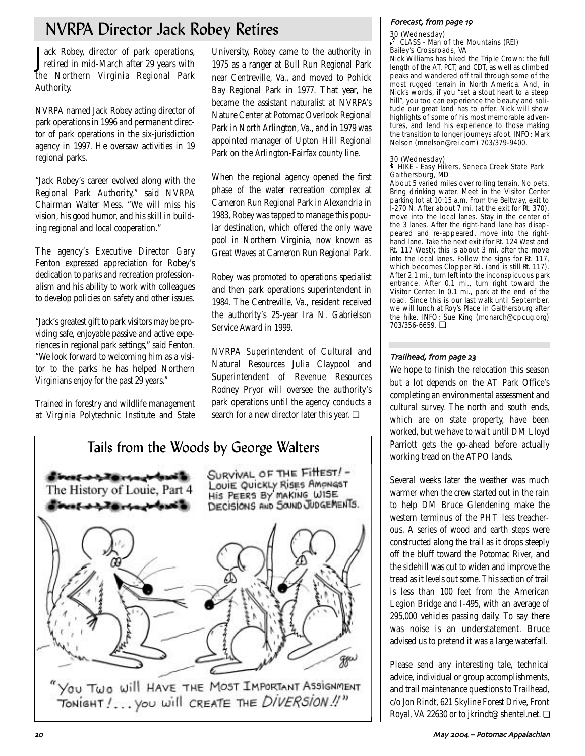# NVRPA Director Jack Robey Retires

J ack Robey, director of park operations, retired in mid-March after 29 years with the Northern Virginia Regional Park Authority.

NVRPA named Jack Robey acting director of park operations in 1996 and permanent director of park operations in the six-jurisdiction agency in 1997. He oversaw activities in 19 regional parks.

"Jack Robey's career evolved along with the Regional Park Authority," said NVRPA Chairman Walter Mess. "We will miss his vision, his good humor, and his skill in building regional and local cooperation."

The agency's Executive Director Gary Fenton expressed appreciation for Robey's dedication to parks and recreation professionalism and his ability to work with colleagues to develop policies on safety and other issues.

"Jack's greatest gift to park visitors may be providing safe, enjoyable passive and active experiences in regional park settings," said Fenton. "We look forward to welcoming him as a visitor to the parks he has helped Northern Virginians enjoy for the past 29 years."

Trained in forestry and wildlife management at Virginia Polytechnic Institute and State

University, Robey came to the authority in 1975 as a ranger at Bull Run Regional Park near Centreville, Va., and moved to Pohick Bay Regional Park in 1977. That year, he became the assistant naturalist at NVRPA's Nature Center at Potomac Overlook Regional Park in North Arlington, Va., and in 1979 was appointed manager of Upton Hill Regional Park on the Arlington-Fairfax county line.

When the regional agency opened the first phase of the water recreation complex at Cameron Run Regional Park in Alexandria in 1983, Robey was tapped to manage this popular destination, which offered the only wave pool in Northern Virginia, now known as Great Waves at Cameron Run Regional Park.

Robey was promoted to operations specialist and then park operations superintendent in 1984. The Centreville, Va., resident received the authority's 25-year Ira N. Gabrielson Service Award in 1999.

NVRPA Superintendent of Cultural and Natural Resources Julia Claypool and Superintendent of Revenue Resources Rodney Pryor will oversee the authority's park operations until the agency conducts a search for a new director later this year. ❏



## Forecast from page 49

#### 30 (Wednesday) CLASS - Man of the Mountains (REI) Bailey's Crossroads, VA

Nick Williams has hiked the Triple Crown: the full length of the AT, PCT, and CDT, as well as climbed peaks and wandered off trail through some of the most rugged terrain in North America. And, in Nick's words, if you "set a stout heart to a steep hill", you too can experience the beauty and solitude our great land has to offer. Nick will show highlights of some of his most memorable adventures, and lend his experience to those making the transition to longer journeys afoot. INFO: Mark Nelson (mnelson@rei.com) 703/379-9400.

## 30 (Wednesday)

### ` HIKE - Easy Hikers, Seneca Creek State Park Gaithersburg, MD

About 5 varied miles over rolling terrain. No pets. Bring drinking water. Meet in the Visitor Center parking lot at 10:15 a.m. From the Beltway, exit to I-270 N. After about 7 mi. (at the exit for Rt. 370), move into the local lanes. Stay in the center of the 3 lanes. After the right-hand lane has disappeared and re-appeared, move into the righthand lane. Take the next exit (for Rt. 124 West and Rt. 117 West); this is about 3 mi. after the move into the local lanes. Follow the signs for Rt. 117, which becomes Clopper Rd. (and is still Rt. 117). After 2.1 mi., turn left into the inconspicuous park entrance. After 0.1 mi., turn right toward the Visitor Center. In 0.1 mi., park at the end of the road. Since this is our last walk until September, we will lunch at Roy's Place in Gaithersburg after the hike. INFO: Sue King (monarch@cpcug.org) 703/356-6659. ❏

## Trailhead from page

We hope to finish the relocation this season but a lot depends on the AT Park Office's completing an environmental assessment and cultural survey. The north and south ends, which are on state property, have been worked, but we have to wait until DM Lloyd Parriott gets the go-ahead before actually working tread on the ATPO lands.

Several weeks later the weather was much warmer when the crew started out in the rain to help DM Bruce Glendening make the western terminus of the PHT less treacherous. A series of wood and earth steps were constructed along the trail as it drops steeply off the bluff toward the Potomac River, and the sidehill was cut to widen and improve the tread as it levels out some. This section of trail is less than 100 feet from the American Legion Bridge and I-495, with an average of 295,000 vehicles passing daily. To say there was noise is an understatement. Bruce advised us to pretend it was a large waterfall.

Please send any interesting tale, technical advice, individual or group accomplishments, and trail maintenance questions to Trailhead, c/o Jon Rindt, 621 Skyline Forest Drive, Front Royal, VA 22630 or to jkrindt@shentel.net. ❏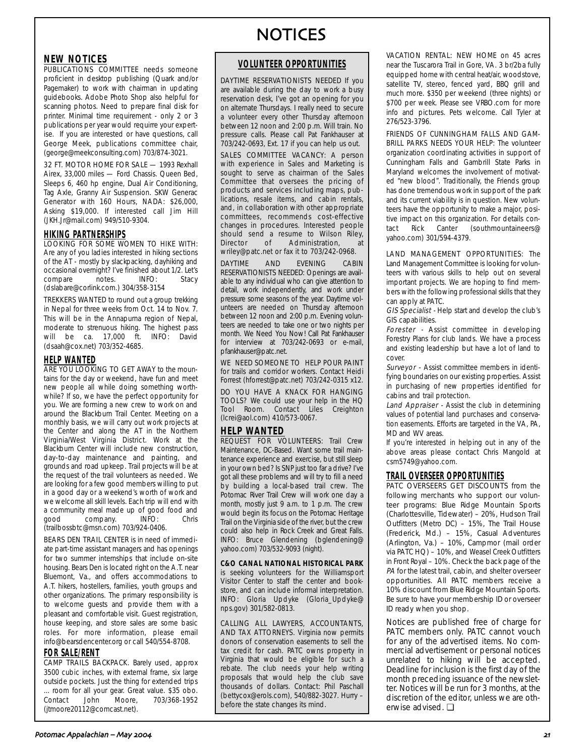# NOTICES

## **NEW NOTICES**

PUBLICATIONS COMMITTEE needs someone proficient in desktop publishing (Quark and/or Pagemaker) to work with chairman in updating guidebooks. Adobe Photo Shop also helpful for scanning photos. Need to prepare final disk for printer. Minimal time requirement - only 2 or 3 publications per year would requirre your expertise. If you are interested or have questions, call George Meek, publications committee chair, (george@meekconsulting.com) 703/874-3021.

32 FT. MOTOR HOME FOR SALE - 1993 Rexhall Airex, 33,000 miles — Ford Chassis. Queen Bed, Sleeps 6, 460 hp engine, Dual Air Conditioning, Tag Axle, Granny Air Suspension. SKW Generac Generator with 160 Hours, NADA: \$26,000, Asking \$19,000. If interested call Jim Hill (JKH.Jr@mail.com) 949/510-9304.

## **HIKING PARTNERSHIPS**

LOOKING FOR SOME WOMEN TO HIKE WITH: Are any of you ladies interested in hiking sections of the AT - mostly by slackpacking, dayhiking and occasional overnight? I've finished about 1/2. Let's compare notes. INFO: Stacy (dslabare@corlink.com.) 304/358-3154

TREKKERS WANTED to round out a group trekking in Nepal for three weeks from Oct. 14 to Nov. 7. This will be in the Annapurna region of Nepal, moderate to strenuous hiking. The highest pass will be ca. 17,000 ft. INFO: David (dsaah@cox.net) 703/352-4685.

## **HELP WANTED**

ARE YOU LOOKING TO GET AWAY to the mountains for the day or weekend, have fun and meet new people all while doing something worthwhile? If so, we have the perfect opportunity for you. We are forming a new crew to work on and around the Blackburn Trail Center. Meeting on a monthly basis, we will carry out work projects at the Center and along the AT in the Northern Virginia/West Virginia District. Work at the Blackburn Center will include new construction, day-to-day maintenance and painting, and grounds and road upkeep. Trail projects will be at the request of the trail volunteers as needed. We are looking for a few good members willing to put in a good day or a weekend's worth of work and we welcome all skill levels. Each trip will end with a community meal made up of good food and<br>good company. INFO: Chris good company. INFO: Chris (trailbossbtc@msn.com) 703/924-0406.

BEARS DEN TRAIL CENTER is in need of immediate part-time assistant managers and has openings for two summer internships that include on-site housing. Bears Den is located right on the A.T. near Bluemont, Va., and offers accommodations to A.T. hikers, hostellers, families, youth groups and other organizations. The primary responsibility is to welcome guests and provide them with a pleasant and comfortable visit. Guest registration, house keeping, and store sales are some basic roles. For more information, please email info@bearsdencenter.org or call 540/554-8708.

## **FOR SALE/RENT**

CAMP TRAILS BACKPACK. Barely used, approx 3500 cubic inches, with external frame, six large outside pockets. Just the thing for extended trips ... room for all your gear. Great value. \$35 obo. Contact John Moore, 703/368-1952 (jtmoore20112@comcast.net).

## **VOLUNTEER OPPORTUNITIES**

DAYTIME RESERVATIONISTS NEEDED If you are available during the day to work a busy reservation desk, I've got an opening for you on alternate Thursdays. I really need to secure a volunteer every other Thursday afternoon between 12 noon and 2:00 p.m. Will train. No pressure calls. Please call Pat Fankhauser at 703/242-0693, Ext. 17 if you can help us out.

SALES COMMITTEE VACANCY: A person with experience in Sales and Marketing is sought to serve as chairman of the Sales Committee that oversees the pricing of products and services including maps, publications, resale items, and cabin rentals, and, in collaboration with other appropriate committees, recommends cost-effective changes in procedures. Interested people should send a resume to Wilson Riley, Director of Administration, at wriley@patc.net or fax it to 703/242-0968.

DAYTIME AND EVENING CABIN RESERVATIONISTS NEEDED: Openings are available to any individual who can give attention to detail, work independently, and work under pressure some seasons of the year. Daytime volunteers are needed on Thursday afternoon between 12 noon and 2:00 p.m. Evening volunteers are needed to take one or two nights per month. We Need You Now! Call Pat Fankhauser for interview at 703/242-0693 or e-mail, pfankhauser@patc.net.

WE NEED SOMEONE TO HELP POUR PAINT for trails and corridor workers. Contact Heidi Forrest (hforrest@patc.net) 703/242-0315 x12.

DO YOU HAVE A KNACK FOR HANGING TOOLS? We could use your help in the HQ Tool Room. Contact Liles Creighton (lcrei@aol.com) 410/573-0067.

## **HELP WANTED**

**REQUEST FOR VOLUNTEERS:** Trail Crew Maintenance, DC-Based. Want some trail maintenance experience and exercise, but still sleep in your own bed? Is SNP just too far a drive? I've got all these problems and will try to fill a need by building a local-based trail crew. The Potomac River Trail Crew will work one day a month, mostly just 9 a.m. to 1 p.m. The crew would begin its focus on the Potomac Heritage Trail on the Virginia side of the river, but the crew could also help in Rock Creek and Great Falls. INFO: Bruce Glendening (bglendening@ yahoo.com) 703/532-9093 (night).

**C&O CANAL NATIONAL HISTORICAL PARK** is seeking volunteers for the Williamsport Visitor Center to staff the center and bookstore, and can include informal interpretation. INFO: Gloria Updyke (Gloria\_Updyke@ nps.gov) 301/582-0813.

CALLING ALL LAWYERS, ACCOUNTANTS, AND TAX ATTORNEYS. Virginia now permits donors of conservation easements to sell the tax credit for cash. PATC owns property in Virginia that would be eligible for such a rebate. The club needs your help writing proposals that would help the club save thousands of dollars. Contact: Phil Paschall (bettycox@erols.com), 540/882-3027. Hurry – before the state changes its mind.

VACATION RENTAL: NEW HOME on 45 acres near the Tuscarora Trail in Gore, VA. 3 br/2ba fully equipped home with central heat/air, woodstove, satellite TV, stereo, fenced yard, BBQ grill and much more. \$350 per weekend (three nights) or \$700 per week. Please see VRBO.com for more info and pictures. Pets welcome. Call Tyler at 276/523-3796.

FRIENDS OF CUNNINGHAM FALLS AND GAM-BRILL PARKS NEEDS YOUR HELP: The volunteer organization coordinating activities in support of Cunningham Falls and Gambrill State Parks in Maryland welcomes the involvement of motivated "new blood". Traditionally, the Friends group has done tremendous work in support of the park and its current viability is in question. New volunteers have the opportunity to make a major, positive impact on this organization. For details contact Rick Canter (southmountaineers@ yahoo.com) 301/594-4379.

LAND MANAGEMENT OPPORTUNITIES: The Land Management Committee is looking for volunteers with various skills to help out on several important projects. We are hoping to find members with the following professional skills that they can apply at PATC.

GIS Specialist - Help start and develop the club's GIS capabilities.

Forester - Assist committee in developing Forestry Plans for club lands. We have a process and existing leadership but have a lot of land to cover.

Surveyor - Assist committee members in identifying boundaries on our existing properties. Assist in purchasing of new properties identified for cabins and trail protection.

Land Appraiser - Assist the club in determining values of potential land purchases and conservation easements. Efforts are targeted in the VA, PA, MD and WV areas.

If you're interested in helping out in any of the above areas please contact Chris Mangold at csm5749@yahoo.com.

## **TRAIL OVERSEER OPPORTUNITIES**

PATC OVERSEERS GET DISCOUNTS from the following merchants who support our volunteer programs: Blue Ridge Mountain Sports (Charlottesville, Tidewater) – 20%, Hudson Trail Outfitters (Metro DC) – 15%, The Trail House (Frederick, Md.) – 15%, Casual Adventures (Arlington, Va.) – 10%, Campmor (mail order via PATC HQ) – 10%, and Weasel Creek Outfitters in Front Royal – 10%. Check the back page of the PA for the latest trail, cabin, and shelter overseer opportunities. All PATC members receive a 10% discount from Blue Ridge Mountain Sports. Be sure to have your membership ID or overseer ID ready when you shop.

Notices are published free of charge for PATC members only. PATC cannot vouch for any of the advertised items. No commercial advertisement or personal notices unrelated to hiking will be accepted. Deadline for inclusion is the first day of the month preceding issuance of the newsletter. Notices will be run for 3 months, at the discretion of the editor, unless we are otherwise advised. ❏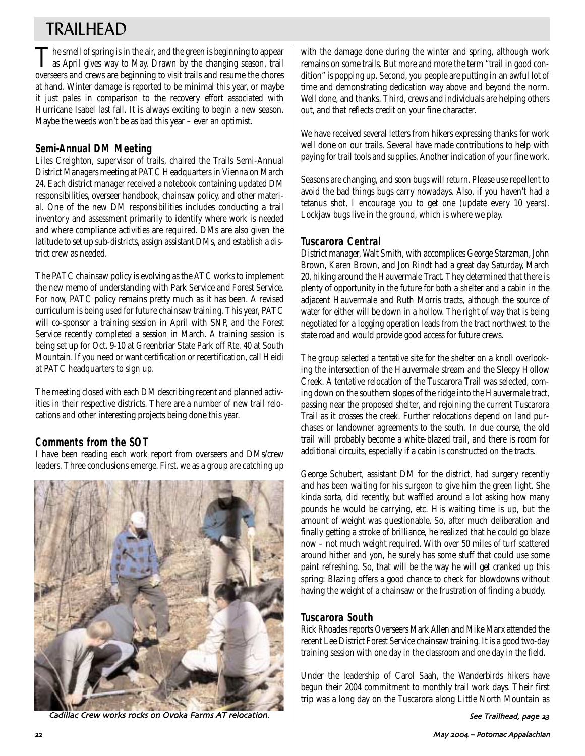# TRAILHEAD

The smell of spring is in the air, and the green is beginning to appear as April gives way to May. Drawn by the changing season, trail overseers and crews are beginning to visit trails and resume the chores at hand. Winter damage is reported to be minimal this year, or maybe it just pales in comparison to the recovery effort associated with Hurricane Isabel last fall. It is always exciting to begin a new season. Maybe the weeds won't be as bad this year – ever an optimist.

## **Semi-Annual DM Meeting**

Liles Creighton, supervisor of trails, chaired the Trails Semi-Annual District Managers meeting at PATC Headquarters in Vienna on March 24. Each district manager received a notebook containing updated DM responsibilities, overseer handbook, chainsaw policy, and other material. One of the new DM responsibilities includes conducting a trail inventory and assessment primarily to identify where work is needed and where compliance activities are required. DMs are also given the latitude to set up sub-districts, assign assistant DMs, and establish a district crew as needed.

The PATC chainsaw policy is evolving as the ATC works to implement the new memo of understanding with Park Service and Forest Service. For now, PATC policy remains pretty much as it has been. A revised curriculum is being used for future chainsaw training. This year, PATC will co-sponsor a training session in April with SNP, and the Forest Service recently completed a session in March. A training session is being set up for Oct. 9-10 at Greenbriar State Park off Rte. 40 at South Mountain. If you need or want certification or recertification, call Heidi at PATC headquarters to sign up.

The meeting closed with each DM describing recent and planned activities in their respective districts. There are a number of new trail relocations and other interesting projects being done this year.

## **Comments from the SOT**

I have been reading each work report from overseers and DMs/crew leaders. Three conclusions emerge. First, we as a group are catching up



Cadillac Crew works rocks on Ovoka Farms AT relocation.

with the damage done during the winter and spring, although work remains on some trails. But more and more the term "trail in good condition" is popping up. Second, you people are putting in an awful lot of time and demonstrating dedication way above and beyond the norm. Well done, and thanks. Third, crews and individuals are helping others out, and that reflects credit on your fine character.

We have received several letters from hikers expressing thanks for work well done on our trails. Several have made contributions to help with paying for trail tools and supplies. Another indication of your fine work.

Seasons are changing, and soon bugs will return. Please use repellent to avoid the bad things bugs carry nowadays. Also, if you haven't had a tetanus shot, I encourage you to get one (update every 10 years). Lockjaw bugs live in the ground, which is where we play.

## **Tuscarora Central**

District manager, Walt Smith, with accomplices George Starzman, John Brown, Karen Brown, and Jon Rindt had a great day Saturday, March 20, hiking around the Hauvermale Tract. They determined that there is plenty of opportunity in the future for both a shelter and a cabin in the adjacent Hauvermale and Ruth Morris tracts, although the source of water for either will be down in a hollow. The right of way that is being negotiated for a logging operation leads from the tract northwest to the state road and would provide good access for future crews.

The group selected a tentative site for the shelter on a knoll overlooking the intersection of the Hauvermale stream and the Sleepy Hollow Creek. A tentative relocation of the Tuscarora Trail was selected, coming down on the southern slopes of the ridge into the Hauvermale tract, passing near the proposed shelter, and rejoining the current Tuscarora Trail as it crosses the creek. Further relocations depend on land purchases or landowner agreements to the south. In due course, the old trail will probably become a white-blazed trail, and there is room for additional circuits, especially if a cabin is constructed on the tracts.

George Schubert, assistant DM for the district, had surgery recently and has been waiting for his surgeon to give him the green light. She kinda sorta, did recently, but waffled around a lot asking how many pounds he would be carrying, etc. His waiting time is up, but the amount of weight was questionable. So, after much deliberation and finally getting a stroke of brilliance, he realized that he could go blaze now – not much weight required. With over 50 miles of turf scattered around hither and yon, he surely has some stuff that could use some paint refreshing. So, that will be the way he will get cranked up this spring: Blazing offers a good chance to check for blowdowns without having the weight of a chainsaw or the frustration of finding a buddy.

## **Tuscarora South**

Rick Rhoades reports Overseers Mark Allen and Mike Marx attended the recent Lee District Forest Service chainsaw training. It is a good two-day training session with one day in the classroom and one day in the field.

Under the leadership of Carol Saah, the Wanderbirds hikers have begun their 2004 commitment to monthly trail work days. Their first trip was a long day on the Tuscarora along Little North Mountain as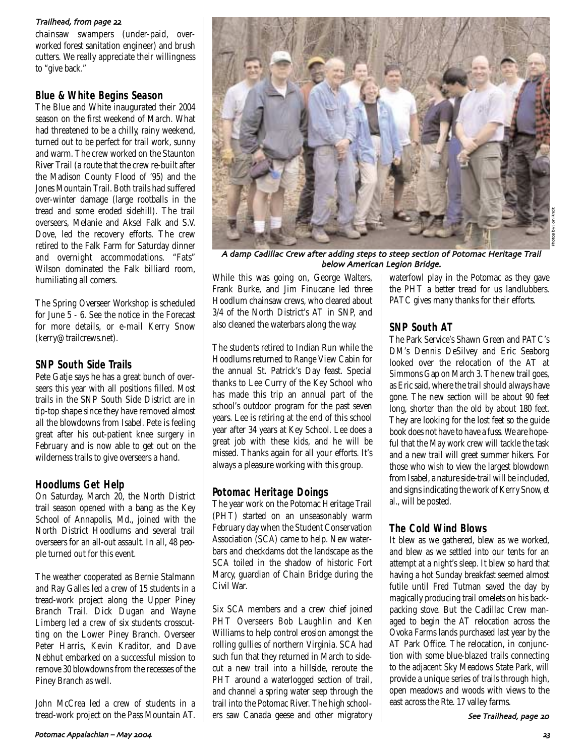## Trailhead from page

chainsaw swampers (under-paid, overworked forest sanitation engineer) and brush cutters. We really appreciate their willingness to "give back."

## **Blue & White Begins Season**

The Blue and White inaugurated their 2004 season on the first weekend of March. What had threatened to be a chilly, rainy weekend, turned out to be perfect for trail work, sunny and warm. The crew worked on the Staunton River Trail (a route that the crew re-built after the Madison County Flood of '95) and the Jones Mountain Trail. Both trails had suffered over-winter damage (large rootballs in the tread and some eroded sidehill). The trail overseers, Melanie and Aksel Falk and S.V. Dove, led the recovery efforts. The crew retired to the Falk Farm for Saturday dinner and overnight accommodations. "Fats" Wilson dominated the Falk billiard room, humiliating all comers.

The Spring Overseer Workshop is scheduled for June 5 - 6. See the notice in the Forecast for more details, or e-mail Kerry Snow (kerry@trailcrews.net).

## **SNP South Side Trails**

Pete Gatje says he has a great bunch of overseers this year with all positions filled. Most trails in the SNP South Side District are in tip-top shape since they have removed almost all the blowdowns from Isabel. Pete is feeling great after his out-patient knee surgery in February and is now able to get out on the wilderness trails to give overseers a hand.

## **Hoodlums Get Help**

On Saturday, March 20, the North District trail season opened with a bang as the Key School of Annapolis, Md., joined with the North District Hoodlums and several trail overseers for an all-out assault. In all, 48 people turned out for this event.

The weather cooperated as Bernie Stalmann and Ray Galles led a crew of 15 students in a tread-work project along the Upper Piney Branch Trail. Dick Dugan and Wayne Limberg led a crew of six students crosscutting on the Lower Piney Branch. Overseer Peter Harris, Kevin Kraditor, and Dave Nebhut embarked on a successful mission to remove 30 blowdowns from the recesses of the Piney Branch as well.

John McCrea led a crew of students in a tread-work project on the Pass Mountain AT.



A damp Cadillac Crew after adding steps to steep section of Potomac Heritage Trail below American Legion Bridge.

While this was going on, George Walters, Frank Burke, and Jim Finucane led three Hoodlum chainsaw crews, who cleared about 3/4 of the North District's AT in SNP, and also cleaned the waterbars along the way.

The students retired to Indian Run while the Hoodlums returned to Range View Cabin for the annual St. Patrick's Day feast. Special thanks to Lee Curry of the Key School who has made this trip an annual part of the school's outdoor program for the past seven years. Lee is retiring at the end of this school year after 34 years at Key School. Lee does a great job with these kids, and he will be missed. Thanks again for all your efforts. It's always a pleasure working with this group.

## **Potomac Heritage Doings**

The year work on the Potomac Heritage Trail (PHT) started on an unseasonably warm February day when the Student Conservation Association (SCA) came to help. New waterbars and checkdams dot the landscape as the SCA toiled in the shadow of historic Fort Marcy, guardian of Chain Bridge during the Civil War.

Six SCA members and a crew chief joined PHT Overseers Bob Laughlin and Ken Williams to help control erosion amongst the rolling gullies of northern Virginia. SCA had such fun that they returned in March to sidecut a new trail into a hillside, reroute the PHT around a waterlogged section of trail, and channel a spring water seep through the trail into the Potomac River. The high schoolers saw Canada geese and other migratory waterfowl play in the Potomac as they gave the PHT a better tread for us landlubbers. PATC gives many thanks for their efforts.

## **SNP South AT**

The Park Service's Shawn Green and PATC's DM's Dennis DeSilvey and Eric Seaborg looked over the relocation of the AT at Simmons Gap on March 3. The new trail goes, as Eric said, where the trail should always have gone. The new section will be about 90 feet long, shorter than the old by about 180 feet. They are looking for the lost feet so the guide book does not have to have a fuss. We are hopeful that the May work crew will tackle the task and a new trail will greet summer hikers. For those who wish to view the largest blowdown from Isabel, a nature side-trail will be included, and signs indicating the work of Kerry Snow, *et al.*, will be posted.

## **The Cold Wind Blows**

It blew as we gathered, blew as we worked, and blew as we settled into our tents for an attempt at a night's sleep. It blew so hard that having a hot Sunday breakfast seemed almost futile until Fred Tutman saved the day by magically producing trail omelets on his backpacking stove. But the Cadillac Crew managed to begin the AT relocation across the Ovoka Farms lands purchased last year by the AT Park Office. The relocation, in conjunction with some blue-blazed trails connecting to the adjacent Sky Meadows State Park, will provide a unique series of trails through high, open meadows and woods with views to the east across the Rte. 17 valley farms.

See Trailhead page